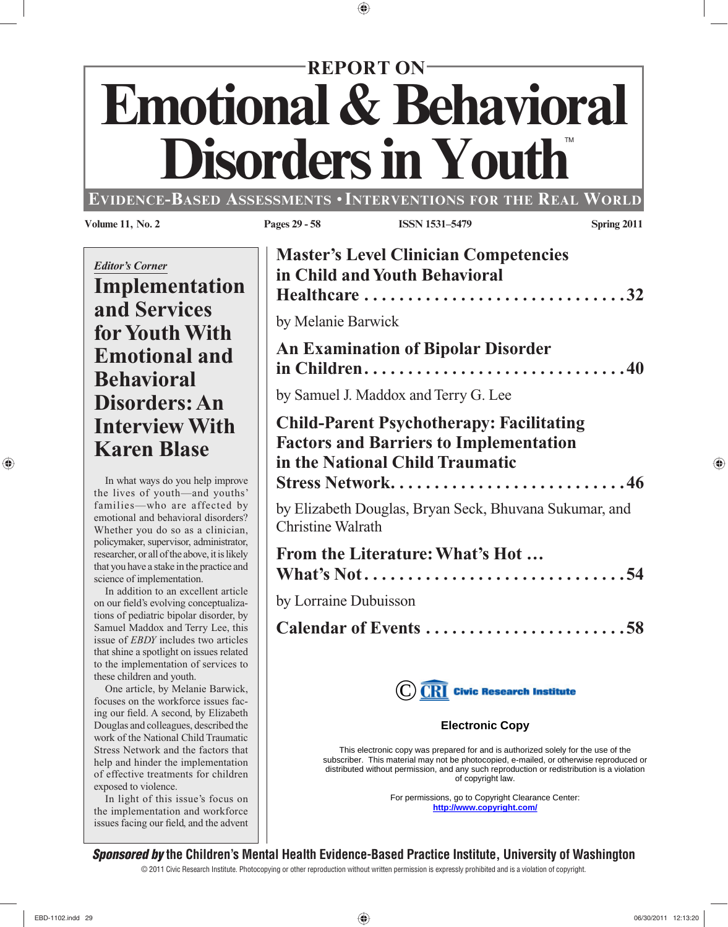# **Emotional & Behavioral<br>Disorders in Youth REPORT ON**

#### **EVIDENCE-BASED ASSESSMENTS** •**INTERVENTIONS FOR THE REAL WORLD**

 One article, by Melanie Barwick, focuses on the workforce issues facing our field. A second, by Elizabeth Douglas and colleagues, described the work of the National Child Traumatic Stress Network and the factors that help and hinder the implementation of effective treatments for children exposed to violence.

 In light of this issue's focus on the implementation and workforce issues facing our field, and the advent

| <b>Volume 11, No. 2</b>                                                                                                                                                                                                                              | Pages 29 - 58            | <b>ISSN 1531-5479</b>                                                                                                                                          | Spring 2011 |
|------------------------------------------------------------------------------------------------------------------------------------------------------------------------------------------------------------------------------------------------------|--------------------------|----------------------------------------------------------------------------------------------------------------------------------------------------------------|-------------|
| <b>Editor's Corner</b><br>Implementation<br>and Services                                                                                                                                                                                             | by Melanie Barwick       | <b>Master's Level Clinician Competencies</b><br>in Child and Youth Behavioral<br>Healthcare 32                                                                 |             |
| for Youth With<br><b>Emotional and</b><br><b>Behavioral</b><br>Disorders: An                                                                                                                                                                         |                          | <b>An Examination of Bipolar Disorder</b><br>in Children40<br>by Samuel J. Maddox and Terry G. Lee                                                             |             |
| <b>Interview With</b><br><b>Karen Blase</b><br>In what ways do you help improve                                                                                                                                                                      |                          | <b>Child-Parent Psychotherapy: Facilitating</b><br><b>Factors and Barriers to Implementation</b><br>in the National Child Traumatic<br><b>Stress Network46</b> |             |
| the lives of youth-and youths'<br>families-who are affected by<br>emotional and behavioral disorders?<br>Whether you do so as a clinician,                                                                                                           | <b>Christine Walrath</b> | by Elizabeth Douglas, Bryan Seck, Bhuvana Sukumar, and                                                                                                         |             |
| policymaker, supervisor, administrator,<br>researcher, or all of the above, it is likely<br>that you have a stake in the practice and<br>science of implementation.<br>In addition to an excellent article<br>on our field's evolving conceptualiza- | by Lorraine Dubuisson    | From the Literature: What's Hot<br>What's Not54                                                                                                                |             |
| tions of pediatric bipolar disorder, by<br>Samuel Maddox and Terry Lee, this<br>issue of EBDY includes two articles<br>that shine a spotlight on issues related<br>to the implementation of services to                                              |                          | Calendar of Events 58                                                                                                                                          |             |
| these children and youth.<br>One article, by Melanie Barwick,<br>focuses on the workforce issues fac-<br>ing our field. A second, by Elizabeth                                                                                                       |                          | $\left(\mathrm{C}\right)\overline{\mathrm{CRI}}\,$ Civic Research Institute                                                                                    |             |
| Douglas and colleagues, described the<br>work of the National Child Traumatic<br>Stress Network and the factors that                                                                                                                                 |                          | <b>Electronic Copy</b><br>This electronic copy was prepared for and is authorized solely for the use of the                                                    |             |

subscriber. This material may not be photocopied, e-mailed, or otherwise reproduced or distributed without permission, and any such reproduction or redistribution is a violation of copyright law.

> For permissions, go to Copyright Clearance Center: **http://www.copyright.com/**

#### *Sponsored by* **the Children's Mental Health Evidence-Based Practice Institute, University of Washington**

© 2011 Civic Research Institute. Photocopying or other reproduction without written permission is expressly prohibited and is a violation of copyright.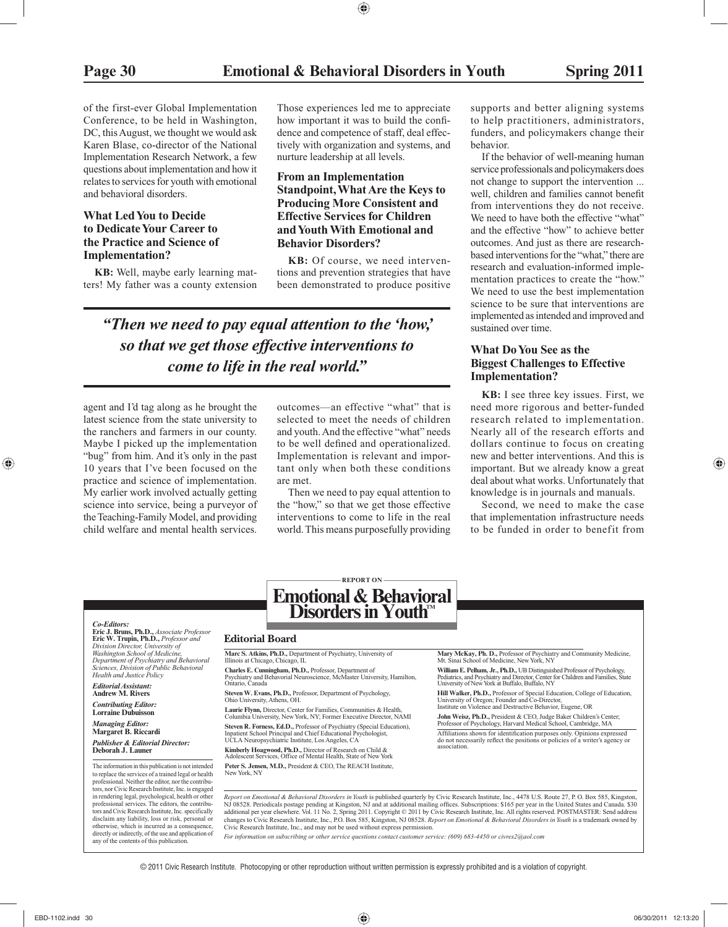of the first-ever Global Implementation Conference, to be held in Washington, DC, this August, we thought we would ask Karen Blase, co-director of the National Implementation Research Network, a few questions about implementation and how it relates to services for youth with emotional and behavioral disorders.

#### **What Led You to Decide to Dedicate Your Career to the Practice and Science of Implementation?**

**KB:** Well, maybe early learning matters! My father was a county extension

Those experiences led me to appreciate how important it was to build the confidence and competence of staff, deal effectively with organization and systems, and nurture leadership at all levels.

#### **From an Implementation Standpoint, What Are the Keys to Producing More Consistent and Effective Services for Children and Youth With Emotional and Behavior Disorders?**

**KB:** Of course, we need interventions and prevention strategies that have been demonstrated to produce positive

*"Then we need to pay equal attention to the 'how,' so that we get those effective interventions to come to life in the real world."*

agent and I'd tag along as he brought the latest science from the state university to the ranchers and farmers in our county. Maybe I picked up the implementation "bug" from him. And it's only in the past 10 years that I've been focused on the practice and science of implementation. My earlier work involved actually getting science into service, being a purveyor of the Teaching-Family Model, and providing child welfare and mental health services.

outcomes—an effective "what" that is selected to meet the needs of children and youth. And the effective "what" needs to be well defined and operationalized. Implementation is relevant and important only when both these conditions are met.

 Then we need to pay equal attention to the "how," so that we get those effective interventions to come to life in the real world. This means purposefully providing

supports and better aligning systems to help practitioners, administrators, funders, and policymakers change their behavior.

 If the behavior of well-meaning human service professionals and policymakers does not change to support the intervention ... well, children and families cannot benefit from interventions they do not receive. We need to have both the effective "what" and the effective "how" to achieve better outcomes. And just as there are researchbased interventions for the "what," there are research and evaluation-informed implementation practices to create the "how." We need to use the best implementation science to be sure that interventions are implemented as intended and improved and sustained over time.

#### **What Do You See as the Biggest Challenges to Effective Implementation?**

**KB:** I see three key issues. First, we need more rigorous and better- funded research related to implementation. Nearly all of the research efforts and dollars continue to focus on creating new and better interventions. And this is important. But we already know a great deal about what works. Unfortunately that knowledge is in journals and manuals.

 Second, we need to make the case that implementation infrastructure needs to be funded in order to benefit from

*Co-Editors:* **Eric J. Bruns, Ph.D.,** *Associate Professor*  **Eric W. Trupin, Ph.D.,** *Professor and Division Director, University of Washington School of Medicine, Department of Psychiatry and Behavioral Sciences, Division of Public Behavioral Health and Justice Policy*

*Editorial Assistant:* **Andrew M. Rivers**

*Contributing Editor:* **Lorraine Dubuisson**

*Managing Editor:* **Margaret B. Riccardi** *Publisher & Editorial Director:* **Deborah J. Launer**

The information in this publication is not intended to replace the services of a trained legal or health professional. Neither the editor, nor the contributors, nor Civic Research Institute, Inc. is engaged in rendering legal, psychological, health or other professional services. The editors, the contributors and Civic Research Institute, Inc. specifically disclaim any liability, loss or risk, personal or otherwise, which is incurred as a consequence, directly or indirectly, of the use and application of any of the contents of this publication.

## **Emotional & Behavioral**  Disorders in Youth<sup>M</sup>

**REPORT ON**

#### **Editorial Board**

**Marc S. Atkins, Ph.D.,** Department of Psychiatry, University of

Illinois at Chicago, Chicago, IL **Charles E. Cunningham, Ph.D.,** Professor, Department of Psychiatry and Behavorial Neuroscience, McMaster University, Hamilton, Ontario, Canada

**Steven W. Evans, Ph.D.,** Professor, Department of Psychology, Ohio University, Athens, OH.

**Laurie Flynn,** Director, Center for Families, Communities & Health, Columbia University, New York, NY; Former Executive Director, NAMI **Steven R. Forness, Ed.D.,** Professor of Psychiatry (Special Education),<br>Inpatient School Principal and Chief Educational Psychologist,<br>UCLA Neuropsychiatric Institute, Los Angeles, CA

**Kimberly Hoagwood, Ph.D.,** Director of Research on Child & Adolescent Services, Office of Mental Health, State of New York

**Peter S. Jensen, M.D.,** President & CEO, The REACH Institute, New York, NY

**Mary McKay, Ph. D.,** Professor of Psychiatry and Community Medicine, Mt. Sinai School of Medicine, New York, NY

**William E. Pelham, Jr., Ph.D.,** UB Distinguished Professor of Psychology, Pediatrics, and Psychiatry and Director, Center for Children and Families, State University of New York at Buffalo, Buffalo, NY

**Hill Walker, Ph.D.,** Professor of Special Education, College of Education,<br>University of Oregon; Founder and Co-Director,<br>Institute on Violence and Destructive Behavior, Eugene, OR

**John Weisz, Ph.D.,** President & CEO, Judge Baker Children's Center; Professor of Psychology, Harvard Medical School, Cambridge, MA

Affiliations shown for identification purposes only. Opinions expressed do not necessarily reflect the positions or policies of a writer's agency or association.

*Report on Emotional & Behavioral Disorders in Youth* is published quarterly by Civic Research Institute, Inc., 4478 U.S. Route 27, P. O. Box 585, Kingston, NJ 08528. Periodicals postage pending at Kingston, NJ and at additional mailing offices. Subscriptions: \$165 per year in the United States and Canada. \$30<br>additional per year elsewhere. Vol. 11 No. 2, Spring 2011. Copyrig changes to Civic Research Institute, Inc., P.O. Box 585, Kingston, NJ 08528. Report on Emotional & Behavioral Disorders in Youth is a trademark owned by<br>Civic Research Institute, Inc., and may not be used without express p

*For information on subscribing or other service questions contact customer service: (609) 683-4450 or civres2@aol.com*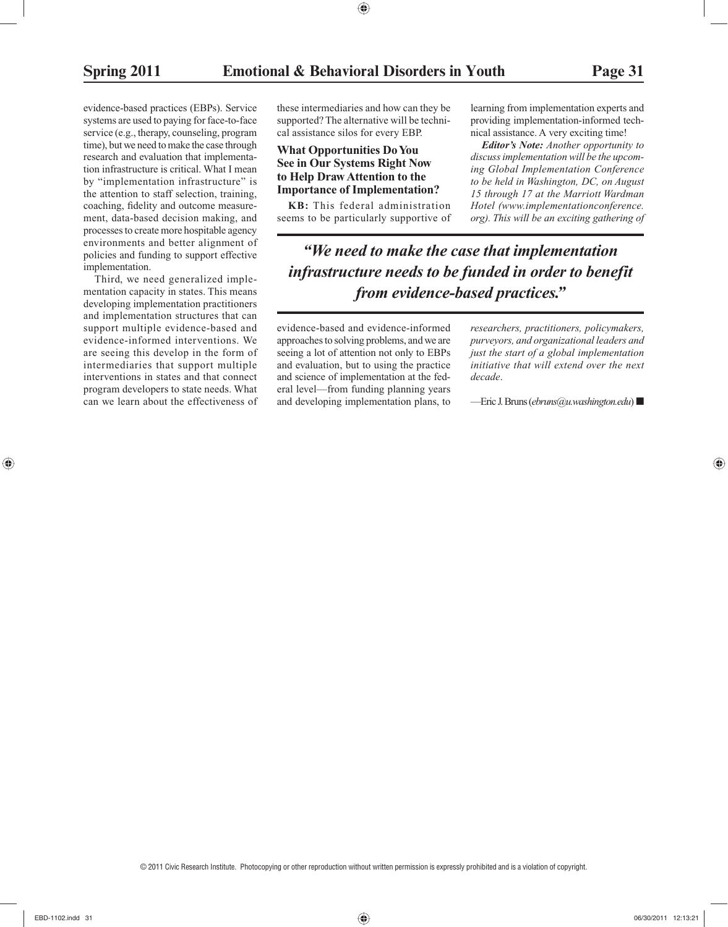evidence-based practices (EBPs). Service systems are used to paying for face-to-face service (e.g., therapy, counseling, program time), but we need to make the case through research and evaluation that implementation infrastructure is critical. What I mean by "implementation infrastructure" is the attention to staff selection, training, coaching, fidelity and outcome measurement, data-based decision making, and processes to create more hospitable agency environments and better alignment of policies and funding to support effective implementation.

 Third, we need generalized implementation capacity in states. This means developing implementation practitioners and implementation structures that can support multiple evidence-based and evidence-informed interventions. We are seeing this develop in the form of intermediaries that support multiple interventions in states and that connect program developers to state needs. What can we learn about the effectiveness of

these intermediaries and how can they be supported? The alternative will be technical assistance silos for every EBP.

#### **What Opportunities Do You See in Our Systems Right Now to Help Draw Attention to the Importance of Implementation?**

**KB:** This federal administration seems to be particularly supportive of

 learning from implementation experts and providing implementation-informed technical assistance. A very exciting time!

*Editor's Note: Another opportunity to discuss implementation will be the upcoming Global Implementation Conference to be held in Washington, DC, on August 15 through 17 at the Marriott Wardman Hotel (www.implementationconference. org). This will be an exciting gathering of* 

*"We need to make the case that implementation infrastructure needs to be funded in order to benefit from evidence-based practices."*

 evidence-based and evidence-informed approaches to solving problems, and we are seeing a lot of attention not only to EBPs and evaluation, but to using the practice and science of implementation at the federal level—from funding planning years and developing implementation plans, to

 *researchers, practitioners, policymakers, purveyors, and organizational leaders and just the start of a global implementation initiative that will extend over the next decade* .

—Eric J. Bruns ( *ebruns@u.washington.edu* ) ■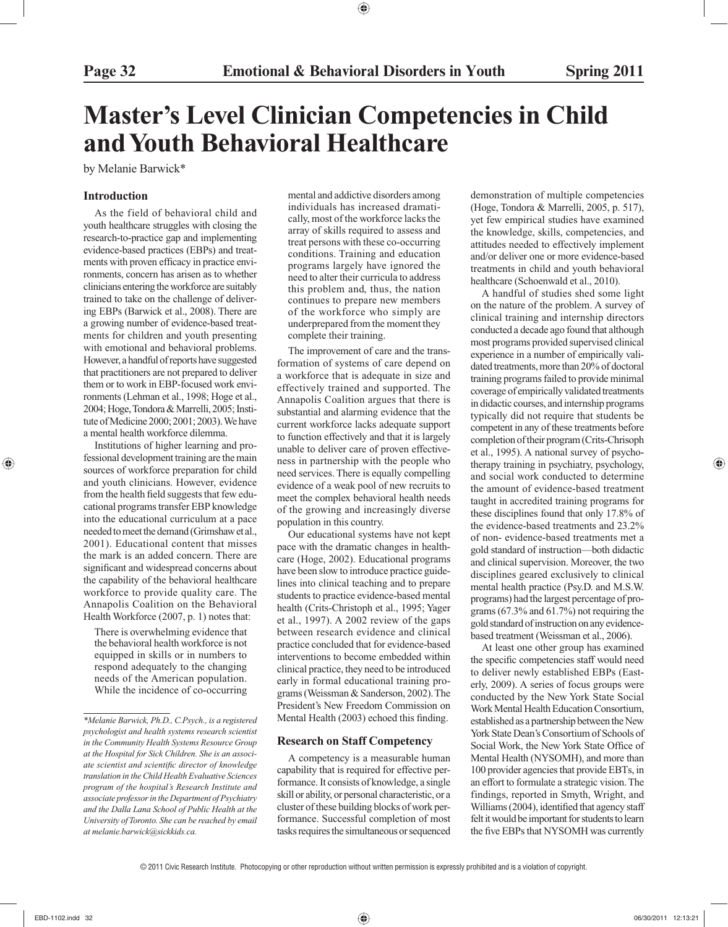## **Master's Level Clinician Competencies in Child and Youth Behavioral Healthcare**

by Melanie Barwick\*

#### **Introduction**

 As the field of behavioral child and youth healthcare struggles with closing the research-to-practice gap and implementing evidence-based practices (EBPs) and treatments with proven efficacy in practice environments, concern has arisen as to whether clinicians entering the workforce are suitably trained to take on the challenge of delivering EBPs (Barwick et al., 2008). There are a growing number of evidence-based treatments for children and youth presenting with emotional and behavioral problems. However, a handful of reports have suggested that practitioners are not prepared to deliver them or to work in EBP-focused work environments (Lehman et al., 1998; Hoge et al., 2004; Hoge, Tondora & Marrelli, 2005; Institute of Medicine 2000; 2001; 2003). We have a mental health workforce dilemma.

 Institutions of higher learning and professional development training are the main sources of workforce preparation for child and youth clinicians. However, evidence from the health field suggests that few educational programs transfer EBP knowledge into the educational curriculum at a pace needed to meet the demand (Grimshaw et al., 2001). Educational content that misses the mark is an added concern. There are significant and widespread concerns about the capability of the behavioral healthcare workforce to provide quality care. The Annapolis Coalition on the Behavioral Health Workforce (2007, p. 1) notes that:

 There is overwhelming evidence that the behavioral health workforce is not equipped in skills or in numbers to respond adequately to the changing needs of the American population. While the incidence of co-occurring

mental and addictive disorders among individuals has increased dramatically, most of the workforce lacks the array of skills required to assess and treat persons with these co-occurring conditions. Training and education programs largely have ignored the need to alter their curricula to address this problem and, thus, the nation continues to prepare new members of the workforce who simply are underprepared from the moment they complete their training.

 The improvement of care and the transformation of systems of care depend on a workforce that is adequate in size and effectively trained and supported. The Annapolis Coalition argues that there is substantial and alarming evidence that the current workforce lacks adequate support to function effectively and that it is largely unable to deliver care of proven effectiveness in partnership with the people who need services. There is equally compelling evidence of a weak pool of new recruits to meet the complex behavioral health needs of the growing and increasingly diverse population in this country.

 Our educational systems have not kept pace with the dramatic changes in healthcare (Hoge, 2002). Educational programs have been slow to introduce practice guidelines into clinical teaching and to prepare students to practice evidence-based mental health (Crits-Christoph et al., 1995; Yager et al., 1997). A 2002 review of the gaps between research evidence and clinical practice concluded that for evidence-based interventions to become embedded within clinical practice, they need to be introduced early in formal educational training programs (Weissman & Sanderson, 2002). The President's New Freedom Commission on Mental Health (2003) echoed this finding.

#### **Research on Staff Competency**

 A competency is a measurable human capability that is required for effective performance. It consists of knowledge, a single skill or ability, or personal characteristic, or a cluster of these building blocks of work performance. Successful completion of most tasks requires the simultaneous or sequenced

demonstration of multiple competencies (Hoge, Tondora & Marrelli, 2005, p. 517), yet few empirical studies have examined the knowledge, skills, competencies, and attitudes needed to effectively implement and/or deliver one or more evidence-based treatments in child and youth behavioral healthcare (Schoenwald et al., 2010).

 A handful of studies shed some light on the nature of the problem. A survey of clinical training and internship directors conducted a decade ago found that although most programs provided supervised clinical experience in a number of empirically validated treatments, more than 20% of doctoral training programs failed to provide minimal coverage of empirically validated treatments in didactic courses, and internship programs typically did not require that students be competent in any of these treatments before completion of their program (Crits-Chrisoph et al., 1995). A national survey of psychotherapy training in psychiatry, psychology, and social work conducted to determine the amount of evidence-based treatment taught in accredited training programs for these disciplines found that only 17.8% of the evidence-based treatments and 23.2% of non- evidence-based treatments met a gold standard of instruction—both didactic and clinical supervision. Moreover, the two disciplines geared exclusively to clinical mental health practice (Psy.D. and M.S.W. programs) had the largest percentage of programs (67.3% and 61.7%) not requiring the gold standard of instruction on any evidencebased treatment (Weissman et al., 2006).

 At least one other group has examined the specific competencies staff would need to deliver newly established EBPs (Easterly, 2009). A series of focus groups were conducted by the New York State Social Work Mental Health Education Consortium, established as a partnership between the New York State Dean's Consortium of Schools of Social Work, the New York State Office of Mental Health (NYSOMH), and more than 100 provider agencies that provide EBTs, in an effort to formulate a strategic vision. The findings, reported in Smyth, Wright, and Williams (2004), identified that agency staff felt it would be important for students to learn the five EBPs that NYSOMH was currently

*<sup>\*</sup>Melanie Barwick, Ph.D., C.Psych., is a registered psychologist and health systems research scientist in the Community Health Systems Resource Group at the Hospital for Sick Children. She is an associate scientist and scientific director of knowledge translation in the Child Health Evaluative Sciences program of the hospital's Research Institute and associate professor in the Department of Psychiatry and the Dalla Lana School of Public Health at the University of Toronto. She can be reached by email at melanie.barwick@sickkids.ca.*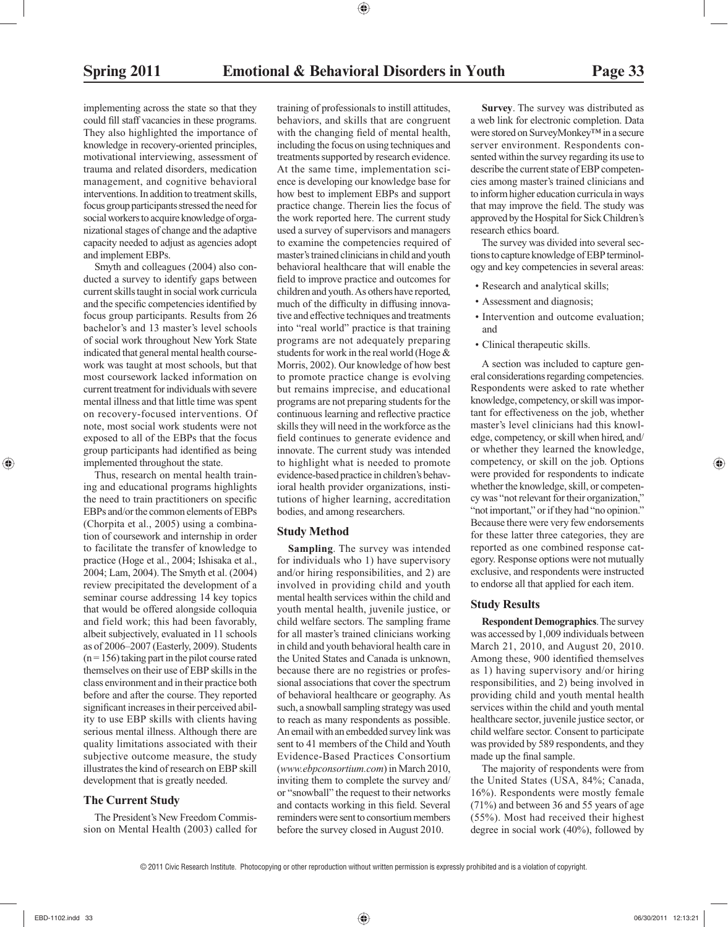implementing across the state so that they could fill staff vacancies in these programs. They also highlighted the importance of knowledge in recovery-oriented principles, motivational interviewing, assessment of trauma and related disorders, medication management, and cognitive behavioral interventions. In addition to treatment skills, focus group participants stressed the need for social workers to acquire knowledge of organizational stages of change and the adaptive capacity needed to adjust as agencies adopt and implement EBPs.

 Smyth and colleagues (2004) also conducted a survey to identify gaps between current skills taught in social work curricula and the specific competencies identified by focus group participants. Results from 26 bachelor's and 13 master's level schools of social work throughout New York State indicated that general mental health coursework was taught at most schools, but that most coursework lacked information on current treatment for individuals with severe mental illness and that little time was spent on recovery-focused interventions. Of note, most social work students were not exposed to all of the EBPs that the focus group participants had identified as being implemented throughout the state.

 Thus, research on mental health training and educational programs highlights the need to train practitioners on specific EBPs and/or the common elements of EBPs (Chorpita et al., 2005) using a combination of coursework and internship in order to facilitate the transfer of knowledge to practice (Hoge et al., 2004; Ishisaka et al., 2004; Lam, 2004). The Smyth et al. (2004) review precipitated the development of a seminar course addressing 14 key topics that would be offered alongside colloquia and field work; this had been favorably, albeit subjectively, evaluated in 11 schools as of 2006–2007 (Easterly, 2009). Students  $(n = 156)$  taking part in the pilot course rated themselves on their use of EBP skills in the class environment and in their practice both before and after the course. They reported significant increases in their perceived ability to use EBP skills with clients having serious mental illness. Although there are quality limitations associated with their subjective outcome measure, the study illustrates the kind of research on EBP skill development that is greatly needed.

#### **The Current Study**

 The President's New Freedom Commission on Mental Health (2003) called for training of professionals to instill attitudes, behaviors, and skills that are congruent with the changing field of mental health, including the focus on using techniques and treatments supported by research evidence. At the same time, implementation science is developing our knowledge base for how best to implement EBPs and support practice change. Therein lies the focus of the work reported here. The current study used a survey of supervisors and managers to examine the competencies required of master's trained clinicians in child and youth behavioral healthcare that will enable the field to improve practice and outcomes for children and youth. As others have reported, much of the difficulty in diffusing innovative and effective techniques and treatments into "real world" practice is that training programs are not adequately preparing students for work in the real world (Hoge & Morris, 2002). Our knowledge of how best to promote practice change is evolving but remains imprecise, and educational programs are not preparing students for the continuous learning and reflective practice skills they will need in the workforce as the field continues to generate evidence and innovate. The current study was intended to highlight what is needed to promote evidence-based practice in children's behavioral health provider organizations, institutions of higher learning, accreditation bodies, and among researchers.

#### **Study Method**

 **Sampling**. The survey was intended for individuals who 1) have supervisory and/or hiring responsibilities, and 2) are involved in providing child and youth mental health services within the child and youth mental health, juvenile justice, or child welfare sectors. The sampling frame for all master's trained clinicians working in child and youth behavioral health care in the United States and Canada is unknown, because there are no registries or professional associations that cover the spectrum of behavioral healthcare or geography. As such, a snowball sampling strategy was used to reach as many respondents as possible. An email with an embedded survey link was sent to 41 members of the Child and Youth Evidence-Based Practices Consortium ( *www.ebpconsortium.com* ) in March 2010, inviting them to complete the survey and/ or "snowball" the request to their networks and contacts working in this field. Several reminders were sent to consortium members before the survey closed in August 2010.

 **Survey**. The survey was distributed as a web link for electronic completion. Data were stored on SurveyMonkey™ in a secure server environment. Respondents consented within the survey regarding its use to describe the current state of EBP competencies among master's trained clinicians and to inform higher education curricula in ways that may improve the field. The study was approved by the Hospital for Sick Children's research ethics board.

 The survey was divided into several sections to capture knowledge of EBP terminology and key competencies in several areas:

- Research and analytical skills;
- Assessment and diagnosis;
- Intervention and outcome evaluation; and
- Clinical therapeutic skills.

 A section was included to capture general considerations regarding competencies. Respondents were asked to rate whether knowledge, competency, or skill was important for effectiveness on the job, whether master's level clinicians had this knowledge, competency, or skill when hired, and/ or whether they learned the knowledge, competency, or skill on the job. Options were provided for respondents to indicate whether the knowledge, skill, or competency was "not relevant for their organization," "not important," or if they had "no opinion." Because there were very few endorsements for these latter three categories, they are reported as one combined response category. Response options were not mutually exclusive, and respondents were instructed to endorse all that applied for each item.

#### **Study Results**

 **Respondent Demographics**. The survey was accessed by 1,009 individuals between March 21, 2010, and August 20, 2010. Among these, 900 identified themselves as 1) having supervisory and/or hiring responsibilities, and 2) being involved in providing child and youth mental health services within the child and youth mental healthcare sector, juvenile justice sector, or child welfare sector. Consent to participate was provided by 589 respondents, and they made up the final sample.

 The majority of respondents were from the United States (USA, 84%; Canada, 16%). Respondents were mostly female (71%) and between 36 and 55 years of age (55%). Most had received their highest degree in social work (40%), followed by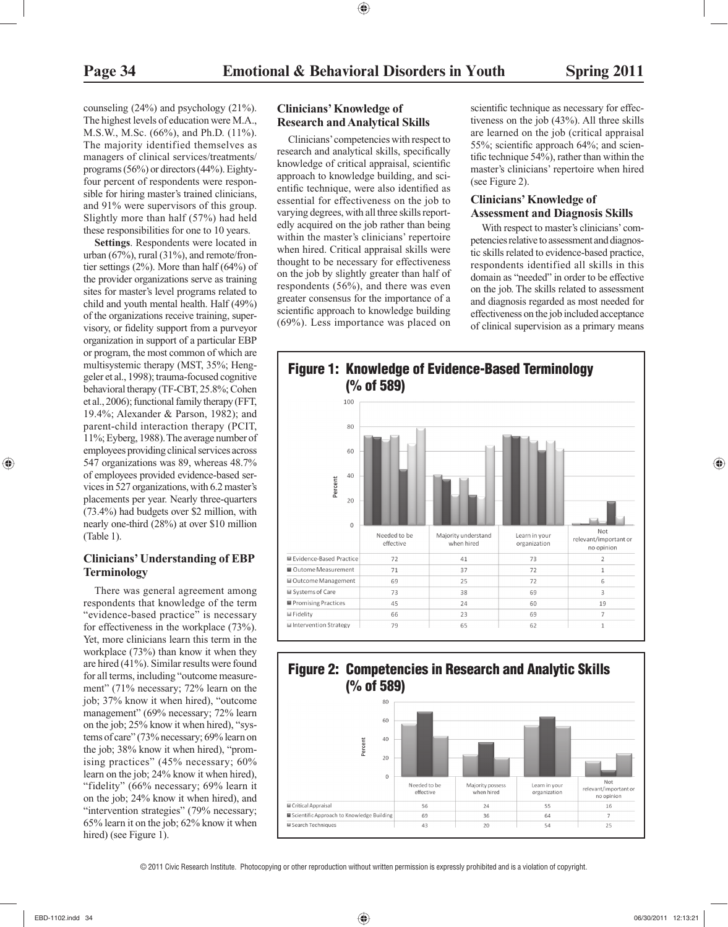counseling (24%) and psychology (21%). The highest levels of education were M.A., M.S.W., M.Sc. (66%), and Ph.D. (11%). The majority identified themselves as managers of clinical services/treatments/ programs (56%) or directors (44%). Eightyfour percent of respondents were responsible for hiring master's trained clinicians, and 91% were supervisors of this group. Slightly more than half (57%) had held these responsibilities for one to 10 years.

 **Settings**. Respondents were located in urban (67%), rural (31%), and remote/frontier settings (2%). More than half (64%) of the provider organizations serve as training sites for master's level programs related to child and youth mental health. Half (49%) of the organizations receive training, supervisory, or fidelity support from a purveyor organization in support of a particular EBP or program, the most common of which are multisystemic therapy (MST, 35%; Henggeler et al., 1998); trauma-focused cognitive behavioral therapy (TF-CBT, 25.8%; Cohen et al., 2006); functional family therapy (FFT, 19.4%; Alexander & Parson, 1982); and parent-child interaction therapy (PCIT, 11%; Eyberg, 1988). The average number of employees providing clinical services across 547 organizations was 89, whereas 48.7% of employees provided evidence-based services in 527 organizations, with 6.2 master's placements per year. Nearly three-quarters (73.4%) had budgets over \$2 million, with nearly one-third (28%) at over \$10 million (Table 1).

#### **Clinicians' Understanding of EBP Terminology**

 There was general agreement among respondents that knowledge of the term "evidence-based practice" is necessary for effectiveness in the workplace (73%). Yet, more clinicians learn this term in the workplace (73%) than know it when they are hired (41%). Similar results were found for all terms, including "outcome measurement" (71% necessary; 72% learn on the job; 37% know it when hired), "outcome management" (69% necessary; 72% learn on the job; 25% know it when hired), "systems of care" (73% necessary; 69% learn on the job; 38% know it when hired), "promising practices" (45% necessary; 60% learn on the job; 24% know it when hired), "fidelity" (66% necessary; 69% learn it on the job; 24% know it when hired), and "intervention strategies" (79% necessary; 65% learn it on the job; 62% know it when hired) (see Figure 1).

#### **Clinicians' Knowledge of Research and Analytical Skills**

 Clinicians' competencies with respect to research and analytical skills, specifically knowledge of critical appraisal, scientific approach to knowledge building, and scientific technique, were also identified as essential for effectiveness on the job to varying degrees, with all three skills reportedly acquired on the job rather than being within the master's clinicians' repertoire when hired. Critical appraisal skills were thought to be necessary for effectiveness on the job by slightly greater than half of respondents (56%), and there was even greater consensus for the importance of a scientific approach to knowledge building (69%). Less importance was placed on

scientific technique as necessary for effectiveness on the job (43%). All three skills are learned on the job (critical appraisal 55%; scientific approach 64%; and scientific technique 54%), rather than within the master's clinicians' repertoire when hired (see Figure 2).

#### **Clinicians' Knowledge of Assessment and Diagnosis Skills**

 With respect to master's clinicians' competencies relative to assessment and diagnostic skills related to evidence-based practice, respondents identified all skills in this domain as "needed" in order to be effective on the job. The skills related to assessment and diagnosis regarded as most needed for effectiveness on the job included acceptance of clinical supervision as a primary means



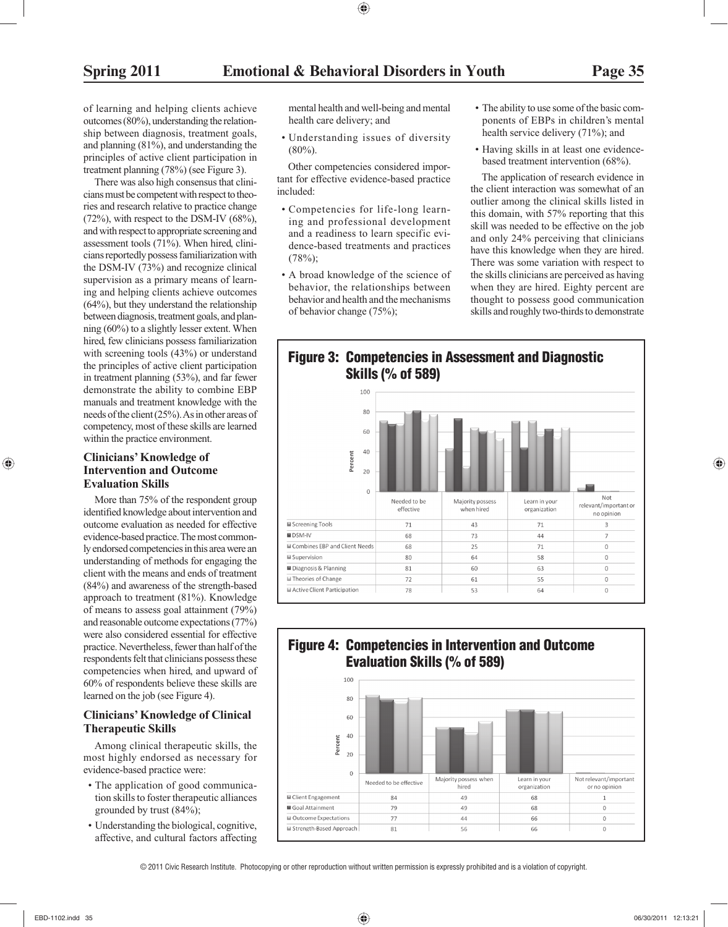of learning and helping clients achieve outcomes (80%), understanding the relationship between diagnosis, treatment goals, and planning (81%), and understanding the principles of active client participation in treatment planning (78%) (see Figure 3).

 There was also high consensus that clinicians must be competent with respect to theories and research relative to practice change  $(72\%)$ , with respect to the DSM-IV  $(68\%)$ , and with respect to appropriate screening and assessment tools (71%). When hired, clinicians reportedly possess familiarization with the DSM-IV (73%) and recognize clinical supervision as a primary means of learning and helping clients achieve outcomes (64%), but they understand the relationship between diagnosis, treatment goals, and planning (60%) to a slightly lesser extent. When hired, few clinicians possess familiarization with screening tools (43%) or understand the principles of active client participation in treatment planning (53%), and far fewer demonstrate the ability to combine EBP manuals and treatment knowledge with the needs of the client (25%). As in other areas of competency, most of these skills are learned within the practice environment.

#### **Clinicians' Knowledge of Intervention and Outcome Evaluation Skills**

 More than 75% of the respondent group identified knowledge about intervention and outcome evaluation as needed for effective evidence-based practice. The most commonly endorsed competencies in this area were an understanding of methods for engaging the client with the means and ends of treatment (84%) and awareness of the strength-based approach to treatment (81%). Knowledge of means to assess goal attainment (79%) and reasonable outcome expectations (77%) were also considered essential for effective practice. Nevertheless, fewer than half of the respondents felt that clinicians possess these competencies when hired, and upward of 60% of respondents believe these skills are learned on the job (see Figure 4).

#### **Clinicians' Knowledge of Clinical Therapeutic Skills**

 Among clinical therapeutic skills, the most highly endorsed as necessary for evidence-based practice were:

- The application of good communication skills to foster therapeutic alliances grounded by trust (84%);
- Understanding the biological, cognitive, affective, and cultural factors affecting

mental health and well-being and mental health care delivery; and

• Understanding issues of diversity  $(80\%)$ .

 Other competencies considered important for effective evidence-based practice included:

- Competencies for life-long learning and professional development and a readiness to learn specific evidence-based treatments and practices  $(78\%)$ :
- A broad knowledge of the science of behavior, the relationships between behavior and health and the mechanisms of behavior change (75%);
- The ability to use some of the basic components of EBPs in children's mental health service delivery (71%); and
- Having skills in at least one evidencebased treatment intervention (68%).

 The application of research evidence in the client interaction was somewhat of an outlier among the clinical skills listed in this domain, with 57% reporting that this skill was needed to be effective on the job and only 24% perceiving that clinicians have this knowledge when they are hired. There was some variation with respect to the skills clinicians are perceived as having when they are hired. Eighty percent are thought to possess good communication skills and roughly two-thirds to demonstrate

### **Figure 3: Competencies in Assessment and Diagnostic Skills (% of 589)**



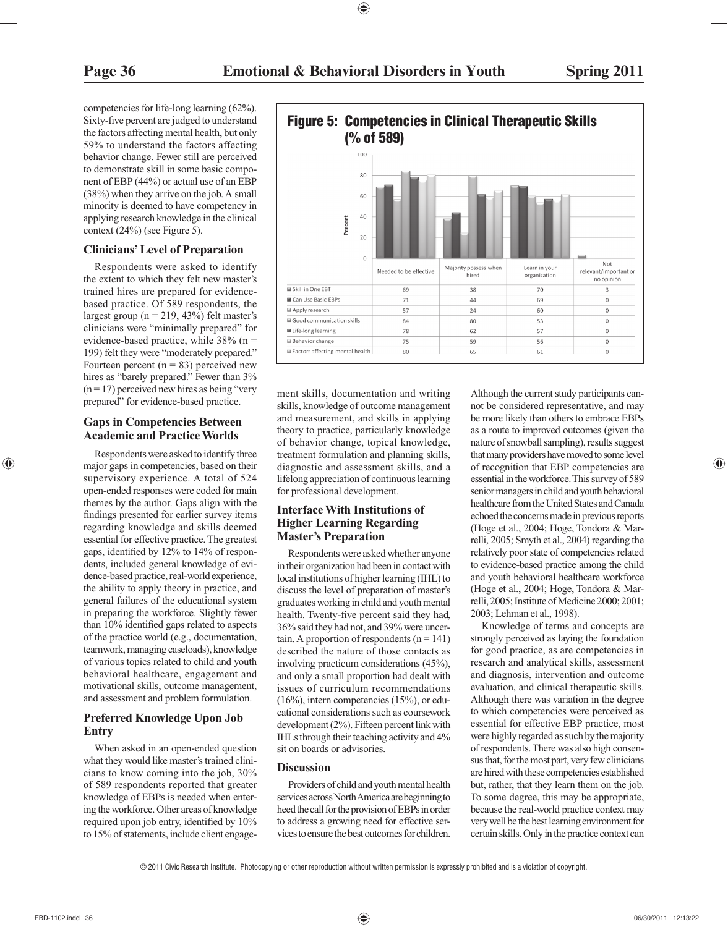competencies for life-long learning (62%). Sixty-five percent are judged to understand the factors affecting mental health, but only 59% to understand the factors affecting behavior change. Fewer still are perceived to demonstrate skill in some basic component of EBP (44%) or actual use of an EBP (38%) when they arrive on the job. A small minority is deemed to have competency in applying research knowledge in the clinical context (24%) (see Figure 5).

#### **Clinicians' Level of Preparation**

 Respondents were asked to identify the extent to which they felt new master's trained hires are prepared for evidencebased practice. Of 589 respondents, the largest group ( $n = 219, 43\%$ ) felt master's clinicians were "minimally prepared" for evidence-based practice, while 38% (n = 199) felt they were "moderately prepared." Fourteen percent  $(n = 83)$  perceived new hires as "barely prepared." Fewer than  $3\%$  $(n = 17)$  perceived new hires as being "very" prepared" for evidence-based practice.

#### **Gaps in Competencies Between Academic and Practice Worlds**

 Respondents were asked to identify three major gaps in competencies, based on their supervisory experience. A total of 524 open-ended responses were coded for main themes by the author. Gaps align with the findings presented for earlier survey items regarding knowledge and skills deemed essential for effective practice. The greatest gaps, identified by  $12\%$  to  $14\%$  of respondents, included general knowledge of evidence-based practice, real-world experience, the ability to apply theory in practice, and general failures of the educational system in preparing the workforce. Slightly fewer than 10% identified gaps related to aspects of the practice world (e.g., documentation, teamwork, managing caseloads), knowledge of various topics related to child and youth behavioral healthcare, engagement and motivational skills, outcome management, and assessment and problem formulation.

#### **Preferred Knowledge Upon Job Entry**

 When asked in an open-ended question what they would like master's trained clinicians to know coming into the job, 30% of 589 respondents reported that greater knowledge of EBPs is needed when entering the workforce. Other areas of knowledge required upon job entry, identified by 10% to 15% of statements, include client engage-



ment skills, documentation and writing skills, knowledge of outcome management and measurement, and skills in applying theory to practice, particularly knowledge of behavior change, topical knowledge, treatment formulation and planning skills, diagnostic and assessment skills, and a lifelong appreciation of continuous learning for professional development.

#### **Interface With Institutions of Higher Learning Regarding Master's Preparation**

 Respondents were asked whether anyone in their organization had been in contact with local institutions of higher learning (IHL) to discuss the level of preparation of master's graduates working in child and youth mental health. Twenty-five percent said they had, 36% said they had not, and 39% were uncertain. A proportion of respondents  $(n = 141)$ described the nature of those contacts as involving practicum considerations (45%), and only a small proportion had dealt with issues of curriculum recommendations (16%), intern competencies (15%), or educational considerations such as coursework development (2%). Fifteen percent link with IHLs through their teaching activity and 4% sit on boards or advisories.

#### **Discussion**

 Providers of child and youth mental health services across North America are beginning to heed the call for the provision of EBPs in order to address a growing need for effective services to ensure the best outcomes for children. Although the current study participants cannot be considered representative, and may be more likely than others to embrace EBPs as a route to improved outcomes (given the nature of snowball sampling), results suggest that many providers have moved to some level of recognition that EBP competencies are essential in the workforce. This survey of 589 senior managers in child and youth behavioral healthcare from the United States and Canada echoed the concerns made in previous reports (Hoge et al., 2004; Hoge, Tondora & Marrelli, 2005; Smyth et al., 2004) regarding the relatively poor state of competencies related to evidence-based practice among the child and youth behavioral healthcare workforce (Hoge et al., 2004; Hoge, Tondora & Marrelli, 2005; Institute of Medicine 2000; 2001; 2003; Lehman et al., 1998).

 Knowledge of terms and concepts are strongly perceived as laying the foundation for good practice, as are competencies in research and analytical skills, assessment and diagnosis, intervention and outcome evaluation, and clinical therapeutic skills. Although there was variation in the degree to which competencies were perceived as essential for effective EBP practice, most were highly regarded as such by the majority of respondents. There was also high consensus that, for the most part, very few clinicians are hired with these competencies established but, rather, that they learn them on the job. To some degree, this may be appropriate, because the real-world practice context may very well be the best learning environment for certain skills. Only in the practice context can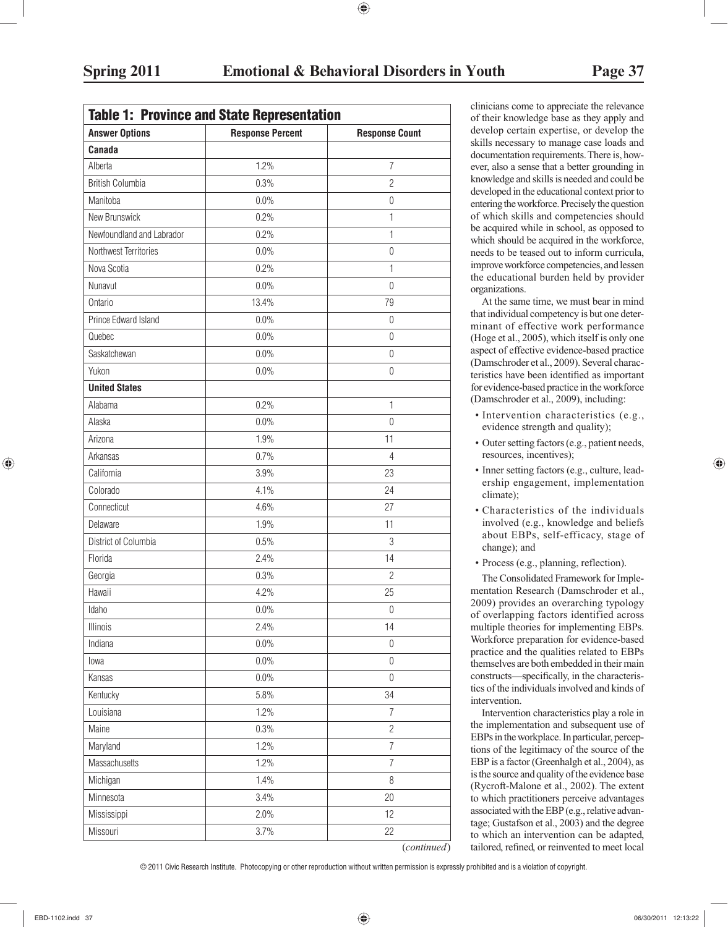| <b>Answer Options</b>     | <b>Response Percent</b> | <b>Response Count</b> |
|---------------------------|-------------------------|-----------------------|
| <b>Canada</b>             |                         |                       |
| Alberta                   | 1.2%                    | $\overline{7}$        |
| <b>British Columbia</b>   | 0.3%                    | $\overline{2}$        |
| Manitoba                  | 0.0%                    | $\boldsymbol{0}$      |
| New Brunswick             | 0.2%                    | 1                     |
| Newfoundland and Labrador | 0.2%                    | 1                     |
| Northwest Territories     | 0.0%                    | $\boldsymbol{0}$      |
| Nova Scotia               | 0.2%                    | 1                     |
| Nunavut                   | 0.0%                    | $\theta$              |
| Ontario                   | 13.4%                   | 79                    |
| Prince Edward Island      | 0.0%                    | $\mathbf 0$           |
| Quebec                    | 0.0%                    | $\mathbf 0$           |
| Saskatchewan              | 0.0%                    | $\mathbf 0$           |
| Yukon                     | 0.0%                    | 0                     |
| <b>United States</b>      |                         |                       |
| Alabama                   | 0.2%                    | 1                     |
| Alaska                    | 0.0%                    | $\theta$              |
| Arizona                   | 1.9%                    | 11                    |
| Arkansas                  | 0.7%                    | $\overline{4}$        |
| California                | 3.9%                    | 23                    |
| Colorado                  | 4.1%                    | 24                    |
| Connecticut               | 4.6%                    | 27                    |
| Delaware                  | 1.9%                    | 11                    |
| District of Columbia      | 0.5%                    | 3                     |
| Florida                   | 2.4%                    | 14                    |
| Georgia                   | 0.3%                    | $\overline{2}$        |
| Hawaii                    | 4.2%                    | 25                    |
| Idaho                     | $0.0\%$                 | $\boldsymbol{0}$      |
| Illinois                  | 2.4%                    | 14                    |
| Indiana                   | $0.0\%$                 | $\boldsymbol{0}$      |
| lowa                      | $0.0\%$                 | $\mathbf 0$           |
| Kansas                    | $0.0\%$                 | $\boldsymbol{0}$      |
| Kentucky                  | 5.8%                    | 34                    |
| Louisiana                 | 1.2%                    | $\overline{7}$        |
| Maine                     | 0.3%                    | $\overline{2}$        |
| Maryland                  | 1.2%                    | $\overline{7}$        |
| Massachusetts             | 1.2%                    | $\overline{7}$        |
| Michigan                  | 1.4%                    | 8                     |
| Minnesota                 | 3.4%                    | 20                    |
| Mississippi               | 2.0%                    | 12                    |
| Missouri                  | 3.7%                    | 22                    |

clinicians come to appreciate the relevance of their knowledge base as they apply and develop certain expertise, or develop the skills necessary to manage case loads and documentation requirements. There is, however, also a sense that a better grounding in knowledge and skills is needed and could be developed in the educational context prior to entering the workforce. Precisely the question of which skills and competencies should be acquired while in school, as opposed to which should be acquired in the workforce, needs to be teased out to inform curricula, improve workforce competencies, and lessen the educational burden held by provider organizations.

 At the same time, we must bear in mind that individual competency is but one determinant of effective work performance (Hoge et al., 2005), which itself is only one aspect of effective evidence-based practice (Damschroder et al., 2009). Several characteristics have been identified as important for evidence-based practice in the workforce (Damschroder et al., 2009), including:

- Intervention characteristics (e.g., evidence strength and quality);
- Outer setting factors (e.g., patient needs, resources, incentives);
- Inner setting factors (e.g., culture, leadership engagement, implementation climate);
- Characteristics of the individuals involved (e.g., knowledge and beliefs about EBPs, self-efficacy, stage of change); and
- Process (e.g., planning, reflection).

 The Consolidated Framework for Implementation Research (Damschroder et al., 2009) provides an overarching typology of overlapping factors identified across multiple theories for implementing EBPs. Workforce preparation for evidence-based practice and the qualities related to EBPs themselves are both embedded in their main constructs—specifically, in the characteristics of the individuals involved and kinds of intervention.

 Intervention characteristics play a role in the implementation and subsequent use of EBPs in the workplace. In particular, perceptions of the legitimacy of the source of the EBP is a factor (Greenhalgh et al., 2004), as is the source and quality of the evidence base (Rycroft-Malone et al., 2002). The extent to which practitioners perceive advantages associated with the EBP (e.g., relative advantage; Gustafson et al., 2003) and the degree to which an intervention can be adapted, tailored, refined, or reinvented to meet local

© 2011 Civic Research Institute. Photocopying or other reproduction without written permission is expressly prohibited and is a violation of copyright.

(*continued*)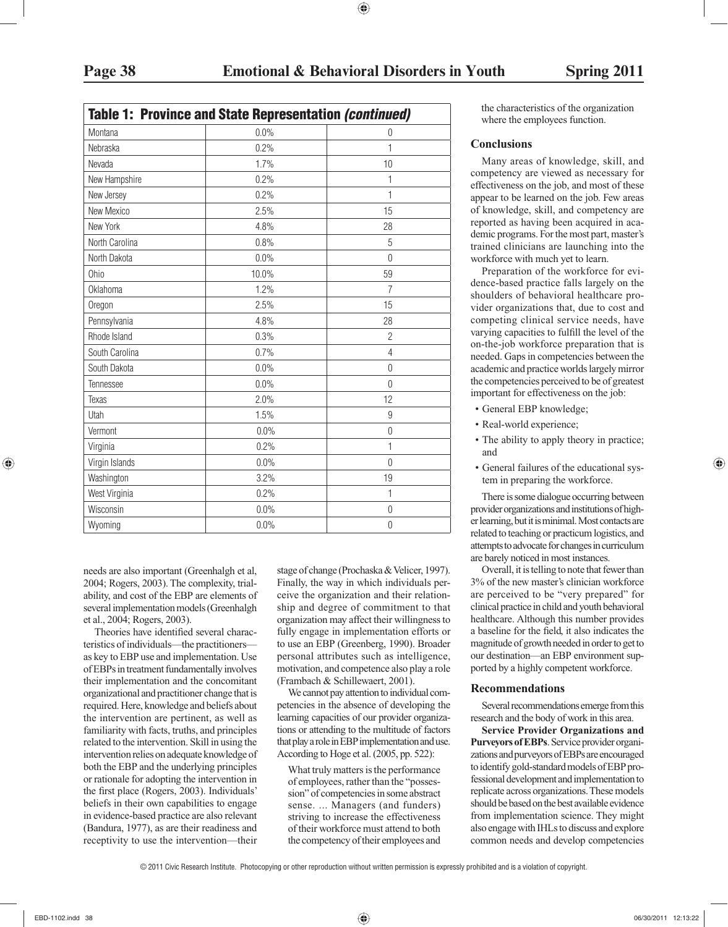|  | <b>Table 1: Province and State Representation (continued)</b> |  |
|--|---------------------------------------------------------------|--|
|  |                                                               |  |

| Montana         | 0.0%  | $\theta$         |
|-----------------|-------|------------------|
| Nebraska        | 0.2%  | 1                |
| Nevada          | 1.7%  | 10               |
| New Hampshire   | 0.2%  | 1                |
| New Jersey      | 0.2%  | 1                |
| New Mexico      | 2.5%  | 15               |
| New York        | 4.8%  | 28               |
| North Carolina  | 0.8%  | 5                |
| North Dakota    | 0.0%  | $\overline{0}$   |
| Ohio            | 10.0% | 59               |
| <b>Oklahoma</b> | 1.2%  | $\overline{7}$   |
| Oregon          | 2.5%  | 15               |
| Pennsylvania    | 4.8%  | 28               |
| Rhode Island    | 0.3%  | $\overline{2}$   |
| South Carolina  | 0.7%  | $\overline{4}$   |
| South Dakota    | 0.0%  | $\boldsymbol{0}$ |
| Tennessee       | 0.0%  | $\theta$         |
| Texas           | 2.0%  | 12               |
| Utah            | 1.5%  | 9                |
| Vermont         | 0.0%  | $\mathbf 0$      |
| Virginia        | 0.2%  | 1                |
| Virgin Islands  | 0.0%  | $\overline{0}$   |
| Washington      | 3.2%  | 19               |
| West Virginia   | 0.2%  | $\mathbf{1}$     |
| Wisconsin       | 0.0%  | $\boldsymbol{0}$ |
| Wyoming         | 0.0%  | $\overline{0}$   |

needs are also important (Greenhalgh et al, 2004; Rogers, 2003). The complexity, trialability, and cost of the EBP are elements of several implementation models (Greenhalgh et al., 2004; Rogers, 2003).

Theories have identified several characteristics of individuals—the practitioners as key to EBP use and implementation. Use of EBPs in treatment fundamentally involves their implementation and the concomitant organizational and practitioner change that is required. Here, knowledge and beliefs about the intervention are pertinent, as well as familiarity with facts, truths, and principles related to the intervention. Skill in using the intervention relies on adequate knowledge of both the EBP and the underlying principles or rationale for adopting the intervention in the first place (Rogers, 2003). Individuals' beliefs in their own capabilities to engage in evidence-based practice are also relevant (Bandura, 1977), as are their readiness and receptivity to use the intervention—their stage of change (Prochaska & Velicer, 1997). Finally, the way in which individuals perceive the organization and their relationship and degree of commitment to that organization may affect their willingness to fully engage in implementation efforts or to use an EBP (Greenberg, 1990). Broader personal attributes such as intelligence, motivation, and competence also play a role (Frambach & Schillewaert, 2001).

 We cannot pay attention to individual competencies in the absence of developing the learning capacities of our provider organizations or attending to the multitude of factors that play a role in EBP implementation and use. According to Hoge et al. (2005, pp. 522):

 What truly matters is the performance of employees, rather than the "possession" of competencies in some abstract sense. ... Managers (and funders) striving to increase the effectiveness of their workforce must attend to both the competency of their employees and the characteristics of the organization where the employees function.

#### **Conclusions**

 Many areas of knowledge, skill, and competency are viewed as necessary for effectiveness on the job, and most of these appear to be learned on the job. Few areas of knowledge, skill, and competency are reported as having been acquired in academic programs. For the most part, master's trained clinicians are launching into the workforce with much yet to learn.

 Preparation of the workforce for evidence-based practice falls largely on the shoulders of behavioral healthcare provider organizations that, due to cost and competing clinical service needs, have varying capacities to fulfill the level of the on-the-job workforce preparation that is needed. Gaps in competencies between the academic and practice worlds largely mirror the competencies perceived to be of greatest important for effectiveness on the job:

- General EBP knowledge;
- Real-world experience;
- The ability to apply theory in practice; and
- General failures of the educational system in preparing the workforce.

 There is some dialogue occurring between provider organizations and institutions of higher learning, but it is minimal. Most contacts are related to teaching or practicum logistics, and attempts to advocate for changes in curriculum are barely noticed in most instances.

 Overall, it is telling to note that fewer than 3% of the new master's clinician workforce are perceived to be "very prepared" for clinical practice in child and youth behavioral healthcare. Although this number provides a baseline for the field, it also indicates the magnitude of growth needed in order to get to our destination—an EBP environment supported by a highly competent workforce.

#### **Recommendations**

 Several recommendations emerge from this research and the body of work in this area.

 **Service Provider Organizations and Purveyors of EBPs**. Service provider organizations and purveyors of EBPs are encouraged to identify gold-standard models of EBP professional development and implementation to replicate across organizations. These models should be based on the best available evidence from implementation science. They might also engage with IHLs to discuss and explore common needs and develop competencies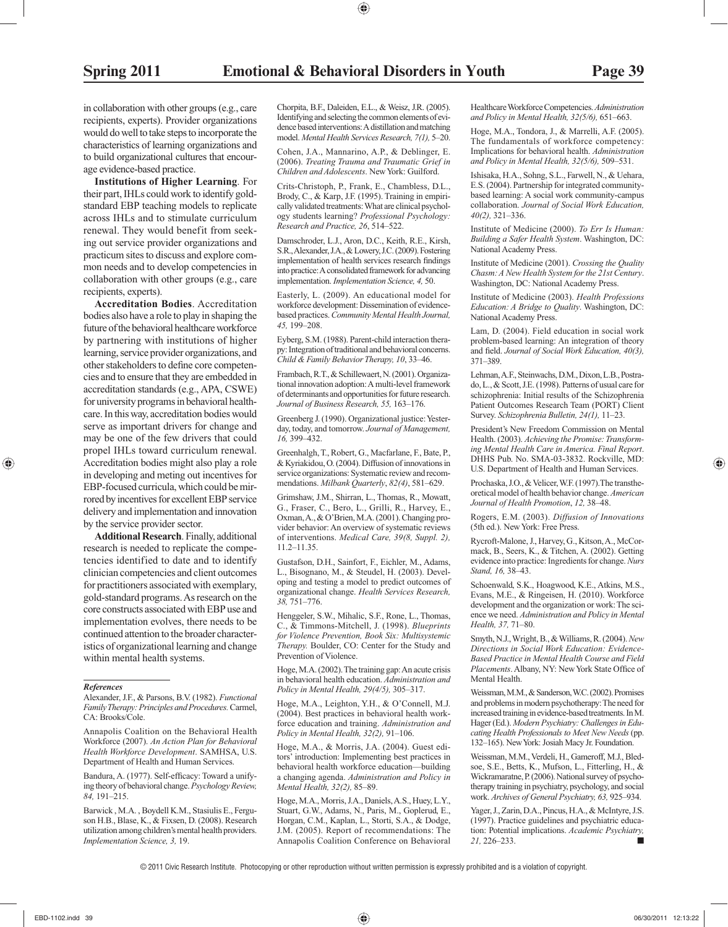in collaboration with other groups (e.g., care recipients, experts). Provider organizations would do well to take steps to incorporate the characteristics of learning organizations and to build organizational cultures that encourage evidence-based practice.

 **Institutions of Higher Learning**. For their part, IHLs could work to identify goldstandard EBP teaching models to replicate across IHLs and to stimulate curriculum renewal. They would benefit from seeking out service provider organizations and practicum sites to discuss and explore common needs and to develop competencies in collaboration with other groups (e.g., care recipients, experts).

 **Accreditation Bodies**. Accreditation bodies also have a role to play in shaping the future of the behavioral healthcare workforce by partnering with institutions of higher learning, service provider organizations, and other stakeholders to define core competencies and to ensure that they are embedded in accreditation standards (e.g., APA, CSWE) for university programs in behavioral healthcare. In this way, accreditation bodies would serve as important drivers for change and may be one of the few drivers that could propel IHLs toward curriculum renewal. Accreditation bodies might also play a role in developing and meting out incentives for EBP-focused curricula, which could be mirrored by incentives for excellent EBP service delivery and implementation and innovation by the service provider sector.

 **Additional Research**. Finally, additional research is needed to replicate the competencies identified to date and to identify clinician competencies and client outcomes for practitioners associated with exemplary, gold-standard programs. As research on the core constructs associated with EBP use and implementation evolves, there needs to be continued attention to the broader characteristics of organizational learning and change within mental health systems.

#### *References*

 Annapolis Coalition on the Behavioral Health Workforce (2007). *An Action Plan for Behavioral Health Workforce Development* . SAMHSA, U.S. Department of Health and Human Services.

Bandura, A. (1977). Self-efficacy: Toward a unifying theory of behavioral change. *Psychology Review, 84,* 191–215.

 Barwick , M.A. , Boydell K.M., Stasiulis E., Ferguson H.B., Blase, K., & Fixsen, D. (2008). Research utilization among children's mental health providers. *Implementation Science, 3,* 19.

 Chorpita, B.F., Daleiden, E.L., & Weisz, J.R. (2005). Identifying and selecting the common elements of evidence based interventions: A distillation and matching model. *Mental Health Services Research, 7(1),* 5–20.

 Cohen, J.A., Mannarino, A.P., & Deblinger, E. (2006). *Treating Trauma and Traumatic Grief in Children and Adolescents* . New York: Guilford.

 Crits-Christoph, P., Frank, E., Chambless, D.L., Brody, C., & Karp, J.F. (1995). Training in empirically validated treatments: What are clinical psychology students learning? *Professional Psychology: Research and Practice, 26* , 514–522.

 Damschroder, L.J., Aron, D.C., Keith, R.E., Kirsh, S.R., Alexander, J.A., & Lowery, J.C. (2009). Fostering implementation of health services research findings into practice: A consolidated framework for advancing implementation. *Implementation Science, 4,* 50.

 Easterly, L. (2009). An educational model for workforce development: Dissemination of evidencebased practices. *Community Mental Health Journal, 45,* 199–208.

 Eyberg, S.M. (1988). Parent-child interaction therapy: Integration of traditional and behavioral concerns. *Child & Family Behavior Therapy, 10* , 33–46.

 Frambach, R.T., & Schillewaert, N. (2001). Organizational innovation adoption: A multi-level framework of determinants and opportunities for future research. *Journal of Business Research, 55,* 163–176.

 Greenberg J. (1990). Organizational justice: Yesterday, today, and tomorrow. *Journal of Management, 16,* 399–432.

 Greenhalgh, T., Robert, G., Macfarlane, F., Bate, P., & Kyriakidou, O. (2004). Diffusion of innovations in service organizations: Systematic review and recommendations. *Milbank Quarterly* , *82(4)* , 581–629.

 Grimshaw, J.M., Shirran, L., Thomas, R., Mowatt, G., Fraser, C., Bero, L., Grilli, R., Harvey, E., Oxman, A., & O'Brien, M.A. (2001). Changing provider behavior: An overview of systematic reviews of interventions. *Medical Care, 39(8, Suppl. 2),* 11.2–11.35.

 Gustafson, D.H., Sainfort, F., Eichler, M., Adams, L., Bisognano, M., & Steudel, H. (2003). Developing and testing a model to predict outcomes of organizational change. *Health Services Research, 38,* 751–776.

 Henggeler, S.W., Mihalic, S.F., Rone, L., Thomas, C., & Timmons-Mitchell, J. (1998). *Blueprints for Violence Prevention, Book Six: Multisystemic Therapy.* Boulder, CO: Center for the Study and Prevention of Violence.

 Hoge, M.A. (2002). The training gap: An acute crisis in behavioral health education. *Administration and Policy in Mental Health, 29(4/5),* 305–317.

 Hoge, M.A., Leighton, Y.H., & O'Connell, M.J. (2004). Best practices in behavioral health workforce education and training. *Administration and Policy in Mental Health, 32(2),* 91–106.

 Hoge, M.A., & Morris, J.A. (2004). Guest editors' introduction: Implementing best practices in behavioral health workforce education—building a changing agenda. *Administration and Policy in Mental Health, 32(2),* 85–89.

 Hoge, M.A., Morris, J.A., Daniels, A.S., Huey, L.Y., Stuart, G.W., Adams, N., Paris, M., Goplerud, E., Horgan, C.M., Kaplan, L., Storti, S.A., & Dodge, J.M. (2005). Report of recommendations: The Annapolis Coalition Conference on Behavioral

Healthcare Workforce Competencies. *Administration and Policy in Mental Health, 32(5/6),* 651–663.

 Hoge, M.A., Tondora, J., & Marrelli, A.F. (2005). The fundamentals of workforce competency: Implications for behavioral health. *Administration and Policy in Mental Health, 32(5/6),* 509–531.

 Ishisaka, H.A., Sohng, S.L., Farwell, N., & Uehara, E.S. (2004). Partnership for integrated communitybased learning: A social work community-campus collaboration. *Journal of Social Work Education, 40(2),* 321–336.

 Institute of Medicine (2000). *To Err Is Human: Building a Safer Health System* . Washington, DC: National Academy Press.

 Institute of Medicine (2001). *Crossing the Quality Chasm: A New Health System for the 21st Century* . Washington, DC: National Academy Press.

 Institute of Medicine (2003). *Health Professions Education: A Bridge to Quality* . Washington, DC: National Academy Press.

 Lam, D. (2004). Field education in social work problem-based learning: An integration of theory and field. *Journal of Social Work Education, 40(3)*, 371–389.

 Lehman, A.F., Steinwachs, D.M., Dixon, L.B., Postrado, L., & Scott, J.E. (1998). Patterns of usual care for schizophrenia: Initial results of the Schizophrenia Patient Outcomes Research Team (PORT) Client Survey. *Schizophrenia Bulletin, 24(1),* 11–23.

 President's New Freedom Commission on Mental Health. (2003). *Achieving the Promise: Transforming Mental Health Care in America. Final Report* . DHHS Pub. No. SMA-03-3832. Rockville, MD: U.S. Department of Health and Human Services.

 Prochaska, J.O., & Velicer, W.F. (1997).The transtheoretical model of health behavior change. *American Journal of Health Promotion* , *12,* 38–48.

 Rogers, E.M. (2003). *Diffusion of Innovations* (5th ed.). New York: Free Press.

 Rycroft-Malone, J., Harvey, G., Kitson, A., McCormack, B., Seers, K., & Titchen, A. (2002). Getting evidence into practice: Ingredients for change. *Nurs Stand, 16,* 38–43.

 Schoenwald, S.K., Hoagwood, K.E., Atkins, M.S., Evans, M.E., & Ringeisen, H. (2010). Workforce development and the organization or work: The science we need. *Administration and Policy in Mental Health, 37,* 71–80.

 Smyth, N.J., Wright, B., & Williams, R. (2004). *New Directions in Social Work Education: Evidence-Based Practice in Mental Health Course and Field*  Placements. Albany, NY: New York State Office of Mental Health.

 Weissman, M.M., & Sanderson, W.C. (2002). Promises and problems in modern psychotherapy: The need for increased training in evidence-based treatments. In M. Hager (Ed.). *Modern Psychiatry: Challenges in Educating Health Professionals to Meet New Needs* (pp. 132–165). New York: Josiah Macy Jr. Foundation.

 Weissman, M.M., Verdeli, H., Gameroff, M.J., Bledsoe, S.E., Betts, K., Mufson, L., Fitterling, H., & Wickramaratne, P. (2006). National survey of psychotherapy training in psychiatry, psychology, and social work. *Archives of General Psychiatry, 63,* 925–934.

 Yager, J., Zarin, D.A., Pincus, H.A., & McIntyre, J.S. (1997). Practice guidelines and psychiatric education: Potential implications. *Academic Psychiatry, 21,* 226–233. ■

Alexander, J.F., & Parsons, B.V. (1982). *Functional Family Therapy: Principles and Procedures.* Carmel, CA: Brooks/Cole.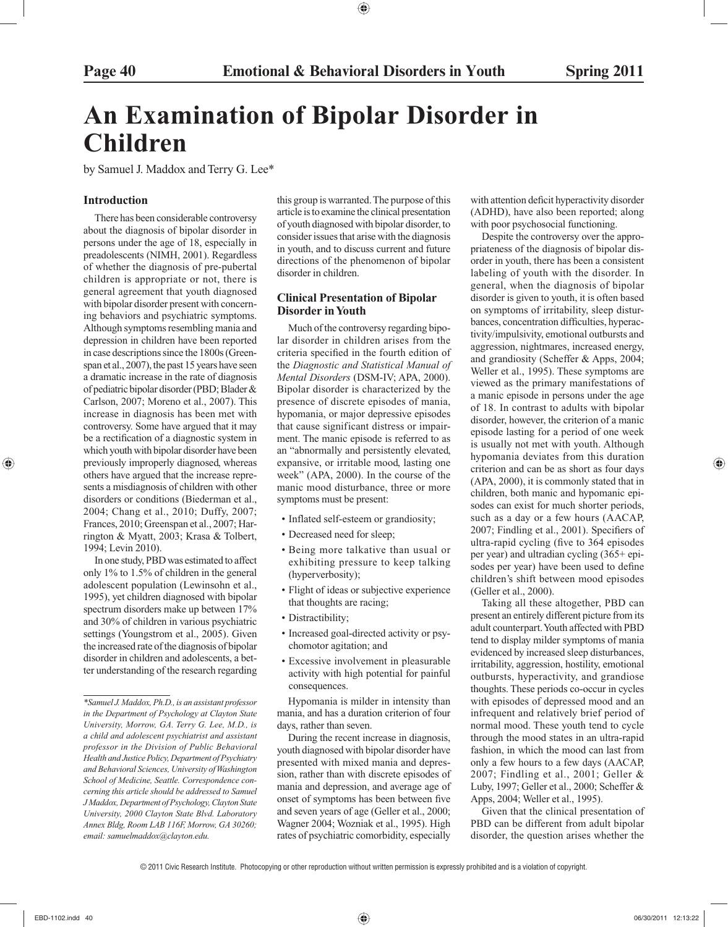## **An Examination of Bipolar Disorder in Children**

by Samuel J. Maddox and Terry G. Lee\*

#### **Introduction**

 There has been considerable controversy about the diagnosis of bipolar disorder in persons under the age of 18, especially in preadolescents (NIMH, 2001). Regardless of whether the diagnosis of pre-pubertal children is appropriate or not, there is general agreement that youth diagnosed with bipolar disorder present with concerning behaviors and psychiatric symptoms. Although symptoms resembling mania and depression in children have been reported in case descriptions since the 1800s (Greenspan et al., 2007), the past 15 years have seen a dramatic increase in the rate of diagnosis of pediatric bipolar disorder (PBD; Blader & Carlson, 2007; Moreno et al., 2007). This increase in diagnosis has been met with controversy. Some have argued that it may be a rectification of a diagnostic system in which youth with bipolar disorder have been previously improperly diagnosed, whereas others have argued that the increase represents a misdiagnosis of children with other disorders or conditions (Biederman et al., 2004; Chang et al., 2010; Duffy, 2007; Frances, 2010; Greenspan et al., 2007; Harrington & Myatt, 2003; Krasa & Tolbert, 1994; Levin 2010).

 In one study, PBD was estimated to affect only 1% to 1.5% of children in the general adolescent population (Lewinsohn et al., 1995), yet children diagnosed with bipolar spectrum disorders make up between 17% and 30% of children in various psychiatric settings (Youngstrom et al., 2005). Given the increased rate of the diagnosis of bipolar disorder in children and adolescents, a better understanding of the research regarding this group is warranted. The purpose of this article is to examine the clinical presentation of youth diagnosed with bipolar disorder, to consider issues that arise with the diagnosis in youth, and to discuss current and future directions of the phenomenon of bipolar disorder in children.

#### **Clinical Presentation of Bipolar Disorder in Youth**

 Much of the controversy regarding bipolar disorder in children arises from the criteria specified in the fourth edition of the *Diagnostic and Statistical Manual of Mental Disorders* (DSM-IV; APA, 2000). Bipolar disorder is characterized by the presence of discrete episodes of mania, hypomania, or major depressive episodes that cause significant distress or impairment. The manic episode is referred to as an "abnormally and persistently elevated, expansive, or irritable mood, lasting one week" (APA, 2000). In the course of the manic mood disturbance, three or more symptoms must be present:

- Inflated self-esteem or grandiosity;
- Decreased need for sleep;
- Being more talkative than usual or exhibiting pressure to keep talking (hyperverbosity);
- Flight of ideas or subjective experience that thoughts are racing;
- Distractibility;
- Increased goal-directed activity or psychomotor agitation; and
- Excessive involvement in pleasurable activity with high potential for painful consequences.

 Hypomania is milder in intensity than mania, and has a duration criterion of four days, rather than seven.

 During the recent increase in diagnosis, youth diagnosed with bipolar disorder have presented with mixed mania and depression, rather than with discrete episodes of mania and depression, and average age of onset of symptoms has been between five and seven years of age (Geller et al., 2000; Wagner 2004; Wozniak et al., 1995). High rates of psychiatric comorbidity, especially

with attention deficit hyperactivity disorder (ADHD), have also been reported; along with poor psychosocial functioning.

 Despite the controversy over the appropriateness of the diagnosis of bipolar disorder in youth, there has been a consistent labeling of youth with the disorder. In general, when the diagnosis of bipolar disorder is given to youth, it is often based on symptoms of irritability, sleep disturbances, concentration difficulties, hyperactivity/impulsivity, emotional outbursts and aggression, nightmares, increased energy, and grandiosity (Scheffer & Apps, 2004; Weller et al., 1995). These symptoms are viewed as the primary manifestations of a manic episode in persons under the age of 18. In contrast to adults with bipolar disorder, however, the criterion of a manic episode lasting for a period of one week is usually not met with youth. Although hypomania deviates from this duration criterion and can be as short as four days (APA, 2000), it is commonly stated that in children, both manic and hypomanic episodes can exist for much shorter periods, such as a day or a few hours (AACAP, 2007; Findling et al., 2001). Specifiers of ultra-rapid cycling (five to 364 episodes per year) and ultradian cycling (365+ episodes per year) have been used to define children's shift between mood episodes (Geller et al., 2000).

 Taking all these altogether, PBD can present an entirely different picture from its adult counterpart. Youth affected with PBD tend to display milder symptoms of mania evidenced by increased sleep disturbances, irritability, aggression, hostility, emotional outbursts, hyperactivity, and grandiose thoughts. These periods co-occur in cycles with episodes of depressed mood and an infrequent and relatively brief period of normal mood. These youth tend to cycle through the mood states in an ultra-rapid fashion, in which the mood can last from only a few hours to a few days (AACAP, 2007; Findling et al., 2001; Geller & Luby, 1997; Geller et al., 2000; Scheffer & Apps, 2004; Weller et al., 1995).

 Given that the clinical presentation of PBD can be different from adult bipolar disorder, the question arises whether the

*<sup>\*</sup>Samuel J. Maddox, Ph.D., is an assistant professor in the Department of Psychology at Clayton State University, Morrow, GA. Terry G. Lee, M.D., is a child and adolescent psychiatrist and assistant professor in the Division of Public Behavioral Health and Justice Policy, Department of Psychiatry and Behavioral Sciences, University of Washington School of Medicine, Seattle. Correspondence concerning this article should be addressed to Samuel J Maddox, Department of Psychology, Clayton State University, 2000 Clayton State Blvd. Laboratory Annex Bldg, Room LAB 116F, Morrow, GA 30260; email: samuelmaddox@clayton.edu.*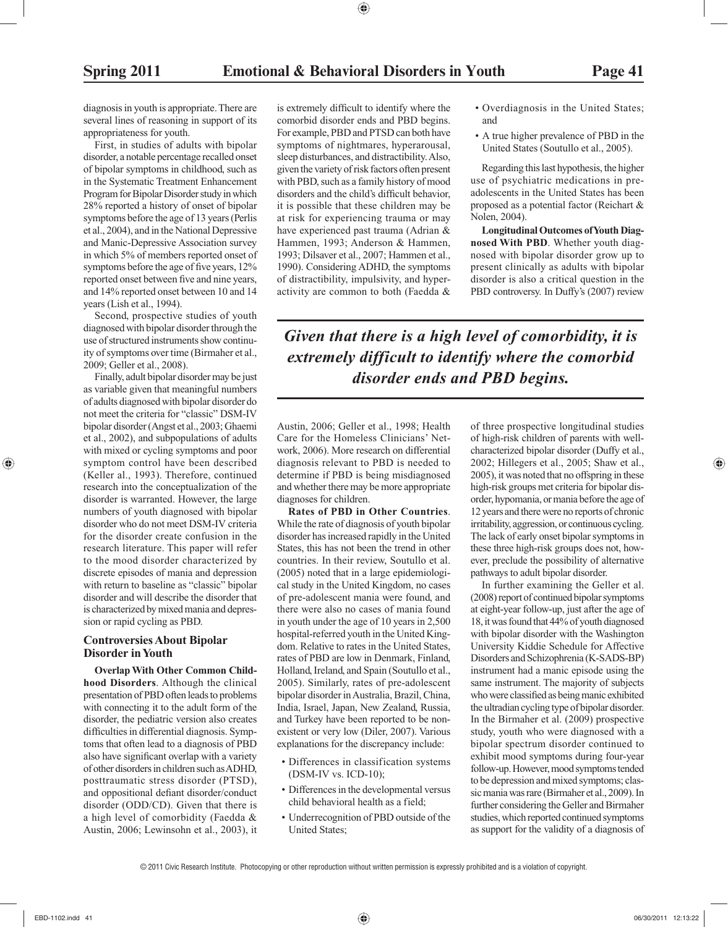diagnosis in youth is appropriate. There are several lines of reasoning in support of its appropriateness for youth.

 First, in studies of adults with bipolar disorder, a notable percentage recalled onset of bipolar symptoms in childhood, such as in the Systematic Treatment Enhancement Program for Bipolar Disorder study in which 28% reported a history of onset of bipolar symptoms before the age of 13 years (Perlis et al., 2004), and in the National Depressive and Manic-Depressive Association survey in which 5% of members reported onset of symptoms before the age of five years, 12% reported onset between five and nine years, and 14% reported onset between 10 and 14 years (Lish et al., 1994).

 Second, prospective studies of youth diagnosed with bipolar disorder through the use of structured instruments show continuity of symptoms over time (Birmaher et al., 2009; Geller et al., 2008).

 Finally, adult bipolar disorder may be just as variable given that meaningful numbers of adults diagnosed with bipolar disorder do not meet the criteria for "classic" DSM-IV bipolar disorder (Angst et al., 2003; Ghaemi et al., 2002), and subpopulations of adults with mixed or cycling symptoms and poor symptom control have been described (Keller al., 1993). Therefore, continued research into the conceptualization of the disorder is warranted. However, the large numbers of youth diagnosed with bipolar disorder who do not meet DSM-IV criteria for the disorder create confusion in the research literature. This paper will refer to the mood disorder characterized by discrete episodes of mania and depression with return to baseline as "classic" bipolar disorder and will describe the disorder that is characterized by mixed mania and depression or rapid cycling as PBD.

#### **Controversies About Bipolar Disorder in Youth**

 **Overlap With Other Common Childhood Disorders**. Although the clinical presentation of PBD often leads to problems with connecting it to the adult form of the disorder, the pediatric version also creates difficulties in differential diagnosis. Symptoms that often lead to a diagnosis of PBD also have significant overlap with a variety of other disorders in children such as ADHD, posttraumatic stress disorder (PTSD), and oppositional defiant disorder/conduct disorder (ODD/CD). Given that there is a high level of comorbidity (Faedda & Austin, 2006; Lewinsohn et al., 2003), it is extremely difficult to identify where the comorbid disorder ends and PBD begins. For example, PBD and PTSD can both have symptoms of nightmares, hyperarousal, sleep disturbances, and distractibility. Also, given the variety of risk factors often present with PBD, such as a family history of mood disorders and the child's difficult behavior, it is possible that these children may be at risk for experiencing trauma or may have experienced past trauma (Adrian & Hammen, 1993; Anderson & Hammen, 1993; Dilsaver et al., 2007; Hammen et al., 1990). Considering ADHD, the symptoms of distractibility, impulsivity, and hyperactivity are common to both (Faedda &

- Overdiagnosis in the United States; and
- A true higher prevalence of PBD in the United States (Soutullo et al., 2005).

 Regarding this last hypothesis, the higher use of psychiatric medications in preadolescents in the United States has been proposed as a potential factor (Reichart & Nolen, 2004).

 **Longitudinal Outcomes of Youth Diagnosed With PBD**. Whether youth diagnosed with bipolar disorder grow up to present clinically as adults with bipolar disorder is also a critical question in the PBD controversy. In Duffy's (2007) review

*Given that there is a high level of comorbidity, it is extremely difficult to identify where the comorbid disorder ends and PBD begins.*

Austin, 2006; Geller et al., 1998; Health Care for the Homeless Clinicians' Network, 2006). More research on differential diagnosis relevant to PBD is needed to determine if PBD is being misdiagnosed and whether there may be more appropriate diagnoses for children.

 **Rates of PBD in Other Countries**. While the rate of diagnosis of youth bipolar disorder has increased rapidly in the United States, this has not been the trend in other countries. In their review, Soutullo et al. (2005) noted that in a large epidemiological study in the United Kingdom, no cases of pre-adolescent mania were found, and there were also no cases of mania found in youth under the age of 10 years in 2,500 hospital-referred youth in the United Kingdom. Relative to rates in the United States, rates of PBD are low in Denmark, Finland, Holland, Ireland, and Spain (Soutullo et al., 2005). Similarly, rates of pre-adolescent bipolar disorder in Australia, Brazil, China, India, Israel, Japan, New Zealand, Russia, and Turkey have been reported to be nonexistent or very low (Diler, 2007). Various explanations for the discrepancy include:

- Differences in classification systems (DSM-IV vs. ICD-10);
- Differences in the developmental versus child behavioral health as a field;
- Underrecognition of PBD outside of the United States;

of three prospective longitudinal studies of high-risk children of parents with wellcharacterized bipolar disorder (Duffy et al., 2002; Hillegers et al., 2005; Shaw et al., 2005), it was noted that no offspring in these high-risk groups met criteria for bipolar disorder, hypomania, or mania before the age of 12 years and there were no reports of chronic irritability, aggression, or continuous cycling. The lack of early onset bipolar symptoms in these three high-risk groups does not, however, preclude the possibility of alternative pathways to adult bipolar disorder.

 In further examining the Geller et al. (2008) report of continued bipolar symptoms at eight-year follow-up, just after the age of 18, it was found that 44% of youth diagnosed with bipolar disorder with the Washington University Kiddie Schedule for Affective Disorders and Schizophrenia (K-SADS-BP) instrument had a manic episode using the same instrument. The majority of subjects who were classified as being manic exhibited the ultradian cycling type of bipolar disorder. In the Birmaher et al. (2009) prospective study, youth who were diagnosed with a bipolar spectrum disorder continued to exhibit mood symptoms during four-year follow-up. However, mood symptoms tended to be depression and mixed symptoms; classic mania was rare (Birmaher et al., 2009). In further considering the Geller and Birmaher studies, which reported continued symptoms as support for the validity of a diagnosis of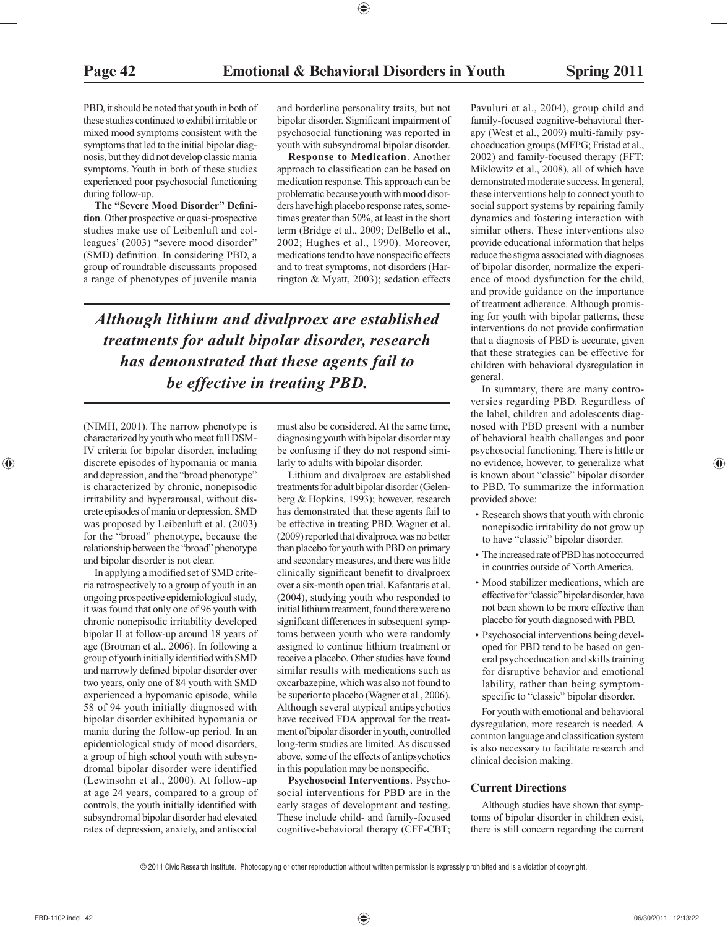PBD, it should be noted that youth in both of these studies continued to exhibit irritable or mixed mood symptoms consistent with the symptoms that led to the initial bipolar diagnosis, but they did not develop classic mania symptoms. Youth in both of these studies experienced poor psychosocial functioning during follow-up.

The "Severe Mood Disorder" Defini**tion**. Other prospective or quasi-prospective studies make use of Leibenluft and colleagues' (2003) "severe mood disorder" (SMD) definition. In considering PBD, a group of roundtable discussants proposed a range of phenotypes of juvenile mania and borderline personality traits, but not bipolar disorder. Significant impairment of psychosocial functioning was reported in youth with subsyndromal bipolar disorder.

 **Response to Medication**. Another approach to classification can be based on medication response. This approach can be problematic because youth with mood disorders have high placebo response rates, sometimes greater than 50%, at least in the short term (Bridge et al., 2009; DelBello et al., 2002; Hughes et al., 1990). Moreover, medications tend to have nonspecific effects and to treat symptoms, not disorders (Harrington & Myatt, 2003); sedation effects

*Although lithium and divalproex are established treatments for adult bipolar disorder, research has demonstrated that these agents fail to be effective in treating PBD.*

(NIMH, 2001). The narrow phenotype is characterized by youth who meet full DSM-IV criteria for bipolar disorder, including discrete episodes of hypomania or mania and depression, and the "broad phenotype" is characterized by chronic, nonepisodic irritability and hyperarousal, without discrete episodes of mania or depression. SMD was proposed by Leibenluft et al. (2003) for the "broad" phenotype, because the relationship between the "broad" phenotype and bipolar disorder is not clear.

In applying a modified set of SMD criteria retrospectively to a group of youth in an ongoing prospective epidemiological study, it was found that only one of 96 youth with chronic nonepisodic irritability developed bipolar II at follow-up around 18 years of age (Brotman et al., 2006). In following a group of youth initially identified with SMD and narrowly defined bipolar disorder over two years, only one of 84 youth with SMD experienced a hypomanic episode, while 58 of 94 youth initially diagnosed with bipolar disorder exhibited hypomania or mania during the follow-up period. In an epidemiological study of mood disorders, a group of high school youth with subsyndromal bipolar disorder were identified (Lewinsohn et al., 2000). At follow-up at age 24 years, compared to a group of controls, the youth initially identified with subsyndromal bipolar disorder had elevated rates of depression, anxiety, and antisocial

must also be considered. At the same time, diagnosing youth with bipolar disorder may be confusing if they do not respond similarly to adults with bipolar disorder.

 Lithium and divalproex are established treatments for adult bipolar disorder (Gelenberg & Hopkins, 1993); however, research has demonstrated that these agents fail to be effective in treating PBD. Wagner et al. (2009) reported that divalproex was no better than placebo for youth with PBD on primary and secondary measures, and there was little clinically significant benefit to divalproex over a six-month open trial. Kafantaris et al. (2004), studying youth who responded to initial lithium treatment, found there were no significant differences in subsequent symptoms between youth who were randomly assigned to continue lithium treatment or receive a placebo. Other studies have found similar results with medications such as oxcarbazepine, which was also not found to be superior to placebo (Wagner et al., 2006). Although several atypical antipsychotics have received FDA approval for the treatment of bipolar disorder in youth, controlled long-term studies are limited. As discussed above, some of the effects of antipsychotics in this population may be nonspecific.

 **Psychosocial Interventions**. Psychosocial interventions for PBD are in the early stages of development and testing. These include child- and family-focused cognitive-behavioral therapy (CFF-CBT;

Pavuluri et al., 2004), group child and family-focused cognitive-behavioral therapy (West et al., 2009) multi-family psychoeducation groups (MFPG; Fristad et al., 2002) and family-focused therapy (FFT: Miklowitz et al., 2008), all of which have demonstrated moderate success. In general, these interventions help to connect youth to social support systems by repairing family dynamics and fostering interaction with similar others. These interventions also provide educational information that helps reduce the stigma associated with diagnoses of bipolar disorder, normalize the experience of mood dysfunction for the child, and provide guidance on the importance of treatment adherence. Although promising for youth with bipolar patterns, these interventions do not provide confirmation that a diagnosis of PBD is accurate, given that these strategies can be effective for children with behavioral dysregulation in general.

 In summary, there are many controversies regarding PBD. Regardless of the label, children and adolescents diagnosed with PBD present with a number of behavioral health challenges and poor psychosocial functioning. There is little or no evidence, however, to generalize what is known about "classic" bipolar disorder to PBD. To summarize the information provided above:

- Research shows that youth with chronic nonepisodic irritability do not grow up to have "classic" bipolar disorder.
- The increased rate of PBD has not occurred in countries outside of North America.
- Mood stabilizer medications, which are effective for "classic" bipolar disorder, have not been shown to be more effective than placebo for youth diagnosed with PBD.
- Psychosocial interventions being developed for PBD tend to be based on general psychoeducation and skills training for disruptive behavior and emotional lability, rather than being symptomspecific to "classic" bipolar disorder.

 For youth with emotional and behavioral dysregulation, more research is needed. A common language and classification system is also necessary to facilitate research and clinical decision making.

#### **Current Directions**

 Although studies have shown that symptoms of bipolar disorder in children exist, there is still concern regarding the current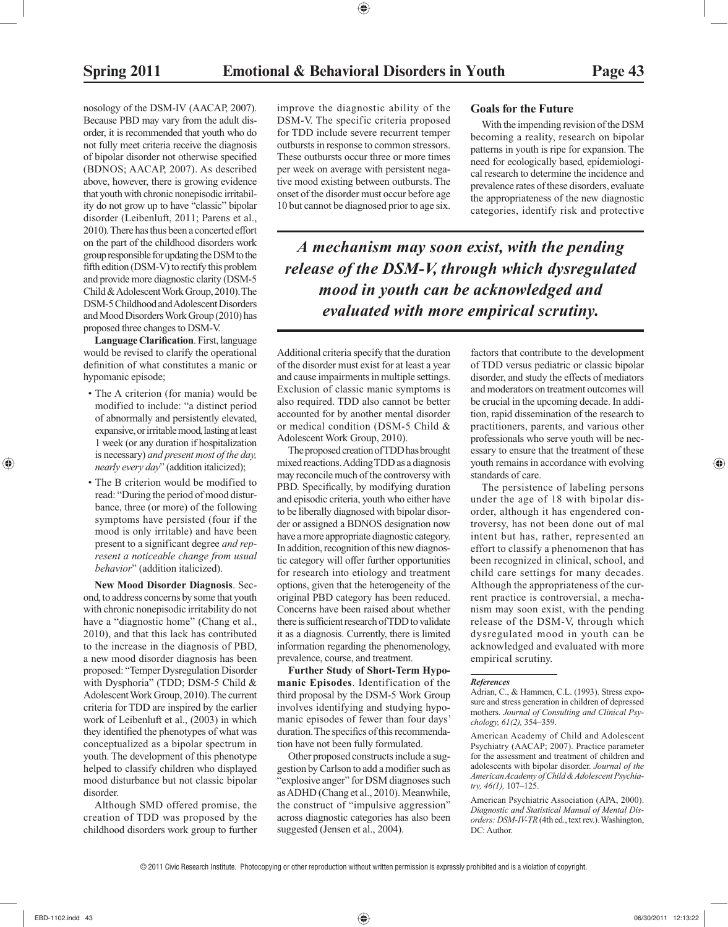nosology of the DSM-IV (AACAP, 2007). Because PBD may vary from the adult disorder, it is recommended that youth who do not fully meet criteria receive the diagnosis of bipolar disorder not otherwise specified (BDNOS; AACAP, 2007). As described above, however, there is growing evidence that youth with chronic nonepisodic irritability do not grow up to have "classic" bipolar disorder (Leibenluft, 2011; Parens et al., 2010). There has thus been a concerted effort on the part of the childhood disorders work group responsible for updating the DSM to the fifth edition (DSM-V) to rectify this problem and provide more diagnostic clarity (DSM-5 Child & Adolescent Work Group, 2010). The DSM-5 Childhood and Adolescent Disorders and Mood Disorders Work Group (2010) has proposed three changes to DSM-V.

**Language Clarification**. First, language would be revised to clarify the operational definition of what constitutes a manic or hypomanic episode;

- The A criterion (for mania) would be modified to include: "a distinct period of abnormally and persistently elevated, expansive, or irritable mood, lasting at least 1 week (or any duration if hospitalization is necessary) *and present most of the day, nearly every day*" (addition italicized);
- The B criterion would be modified to read: "During the period of mood disturbance, three (or more) of the following symptoms have persisted (four if the mood is only irritable) and have been present to a significant degree *and represent a noticeable change from usual behavior*" (addition italicized).

 **New Mood Disorder Diagnosis**. Second, to address concerns by some that youth with chronic nonepisodic irritability do not have a "diagnostic home" (Chang et al., 2010), and that this lack has contributed to the increase in the diagnosis of PBD, a new mood disorder diagnosis has been proposed: "Temper Dysregulation Disorder with Dysphoria" (TDD; DSM-5 Child & Adolescent Work Group, 2010). The current criteria for TDD are inspired by the earlier work of Leibenluft et al., (2003) in which they identified the phenotypes of what was conceptualized as a bipolar spectrum in youth. The development of this phenotype helped to classify children who displayed mood disturbance but not classic bipolar disorder.

 Although SMD offered promise, the creation of TDD was proposed by the childhood disorders work group to further improve the diagnostic ability of the DSM-V. The specific criteria proposed for TDD include severe recurrent temper outbursts in response to common stressors. These outbursts occur three or more times per week on average with persistent negative mood existing between outbursts. The onset of the disorder must occur before age 10 but cannot be diagnosed prior to age six.

 **Goals for the Future** 

 With the impending revision of the DSM becoming a reality, research on bipolar patterns in youth is ripe for expansion. The need for ecologically based, epidemiological research to determine the incidence and prevalence rates of these disorders, evaluate the appropriateness of the new diagnostic categories, identify risk and protective

*A mechanism may soon exist, with the pending release of the DSM-V, through which dysregulated mood in youth can be acknowledged and evaluated with more empirical scrutiny.*

Additional criteria specify that the duration of the disorder must exist for at least a year and cause impairments in multiple settings. Exclusion of classic manic symptoms is also required. TDD also cannot be better accounted for by another mental disorder or medical condition (DSM-5 Child & Adolescent Work Group, 2010).

 The proposed creation of TDD has brought mixed reactions. Adding TDD as a diagnosis may reconcile much of the controversy with PBD. Specifically, by modifying duration and episodic criteria, youth who either have to be liberally diagnosed with bipolar disorder or assigned a BDNOS designation now have a more appropriate diagnostic category. In addition, recognition of this new diagnostic category will offer further opportunities for research into etiology and treatment options, given that the heterogeneity of the original PBD category has been reduced. Concerns have been raised about whether there is sufficient research of TDD to validate it as a diagnosis. Currently, there is limited information regarding the phenomenology, prevalence, course, and treatment.

 **Further Study of Short-Term Hypomanic Episodes**. Identification of the third proposal by the DSM-5 Work Group involves identifying and studying hypomanic episodes of fewer than four days' duration. The specifics of this recommendation have not been fully formulated.

 Other proposed constructs include a suggestion by Carlson to add a modifier such as "explosive anger" for DSM diagnoses such as ADHD (Chang et al., 2010). Meanwhile, the construct of "impulsive aggression" across diagnostic categories has also been suggested (Jensen et al., 2004).

factors that contribute to the development of TDD versus pediatric or classic bipolar disorder, and study the effects of mediators and moderators on treatment outcomes will be crucial in the upcoming decade. In addition, rapid dissemination of the research to practitioners, parents, and various other professionals who serve youth will be necessary to ensure that the treatment of these youth remains in accordance with evolving standards of care.

 The persistence of labeling persons under the age of 18 with bipolar disorder, although it has engendered controversy, has not been done out of mal intent but has, rather, represented an effort to classify a phenomenon that has been recognized in clinical, school, and child care settings for many decades. Although the appropriateness of the current practice is controversial, a mechanism may soon exist, with the pending release of the DSM-V, through which dysregulated mood in youth can be acknowledged and evaluated with more empirical scrutiny.

 American Academy of Child and Adolescent Psychiatry (AACAP; 2007). Practice parameter for the assessment and treatment of children and adolescents with bipolar disorder. *Journal of the American Academy of Child & Adolescent Psychiatry, 46(1),* 107–125.

 American Psychiatric Association (APA, 2000). *Diagnostic and Statistical Manual of Mental Disorders: DSM-IV-TR* (4th ed., text rev.). Washington, DC: Author.

*References* 

Adrian, C., & Hammen, C.L. (1993). Stress exposure and stress generation in children of depressed mothers. *Journal of Consulting and Clinical Psychology, 61(2),* 354–359.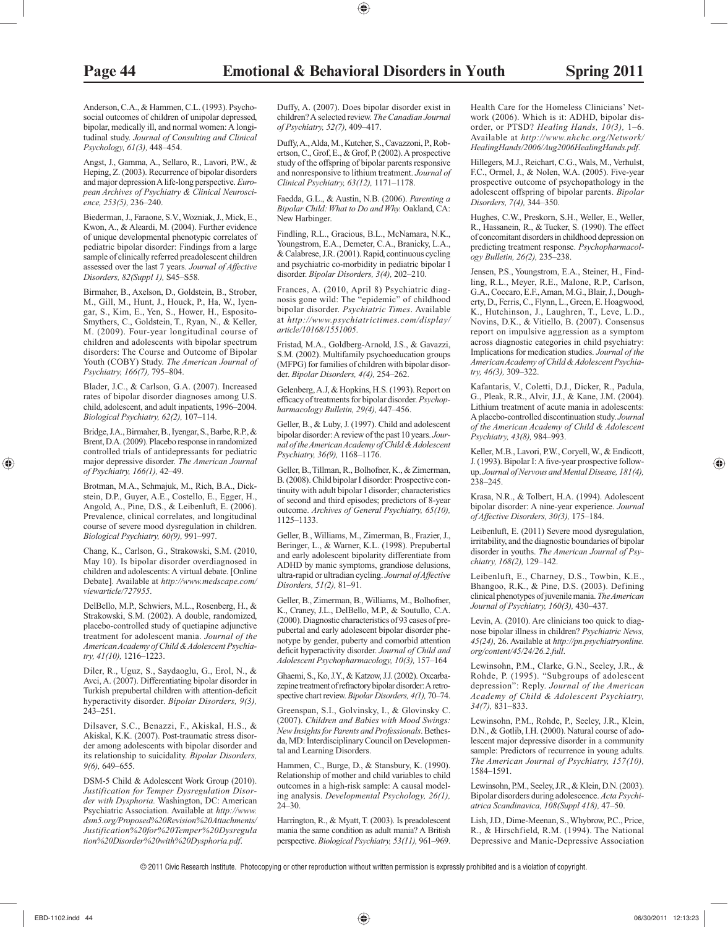Anderson, C.A., & Hammen, C.L. (1993). Psychosocial outcomes of children of unipolar depressed, bipolar, medically ill, and normal women: A longitudinal study. *Journal of Consulting and Clinical Psychology, 61(3),* 448–454.

 Angst, J., Gamma, A., Sellaro, R., Lavori, P.W., & Heping, Z. (2003). Recurrence of bipolar disorders and major depression A life-long perspective. *European Archives of Psychiatry & Clinical Neuroscience, 253(5),* 236–240.

 Biederman, J., Faraone, S.V., Wozniak, J., Mick, E., Kwon, A., & Aleardi, M. (2004). Further evidence of unique developmental phenotypic correlates of pediatric bipolar disorder: Findings from a large sample of clinically referred preadolescent children assessed over the last 7 years. *Journal of Affective Disorders, 82(Suppl 1),* S45–S58.

 Birmaher, B., Axelson, D., Goldstein, B., Strober, M., Gill, M., Hunt, J., Houck, P., Ha, W., Iyengar, S., Kim, E., Yen, S., Hower, H., Esposito-Smythers, C., Goldstein, T., Ryan, N., & Keller, M. (2009). Four-year longitudinal course of children and adolescents with bipolar spectrum disorders: The Course and Outcome of Bipolar Youth (COBY) Study. *The American Journal of Psychiatry, 166(7),* 795–804.

 Blader, J.C., & Carlson, G.A. (2007). Increased rates of bipolar disorder diagnoses among U.S. child, adolescent, and adult inpatients, 1996–2004. *Biological Psychiatry, 62(2),* 107–114.

 Bridge, J.A., Birmaher, B., Iyengar, S., Barbe, R.P., & Brent, D.A. (2009). Placebo response in randomized controlled trials of antidepressants for pediatric major depressive disorder. *The American Journal of Psychiatry, 166(1),* 42–49.

 Brotman, M.A., Schmajuk, M., Rich, B.A., Dickstein, D.P., Guyer, A.E., Costello, E., Egger, H., Angold, A., Pine, D.S., & Leibenluft, E. (2006). Prevalence, clinical correlates, and longitudinal course of severe mood dysregulation in children. *Biological Psychiatry, 60(9),* 991–997.

 Chang, K., Carlson, G., Strakowski, S.M. (2010, May 10). Is bipolar disorder overdiagnosed in children and adolescents: A virtual debate. [Online Debate]. Available at *http://www.medscape.com/ viewarticle/727955* .

 DelBello, M.P., Schwiers, M.L., Rosenberg, H., & Strakowski, S.M. (2002). A double, randomized, placebo-controlled study of quetiapine adjunctive treatment for adolescent mania. *Journal of the American Academy of Child & Adolescent Psychiatry, 41(10),* 1216–1223.

 Diler, R., Uguz, S., Saydaoglu, G., Erol, N., & Avci, A. (2007). Differentiating bipolar disorder in Turkish prepubertal children with attention-deficit hyperactivity disorder. *Bipolar Disorders, 9(3),* 243–251.

 Dilsaver, S.C., Benazzi, F., Akiskal, H.S., & Akiskal, K.K. (2007). Post-traumatic stress disorder among adolescents with bipolar disorder and its relationship to suicidality. *Bipolar Disorders, 9(6),* 649–655.

 DSM-5 Child & Adolescent Work Group (2010). *Justification for Temper Dysregulation Disorder with Dysphoria.* Washington, DC: American Psychiatric Association. Available at *http://www. dsm5.org/Proposed%20Revision%20Attachments/ Justification%20for%20Temper%20Dysregula tion%20Disorder%20with%20Dysphoria.pdf* .

 Duffy, A. (2007). Does bipolar disorder exist in children? A selected review. *The Canadian Journal of Psychiatry, 52(7),* 409–417.

 Duffy, A., Alda, M., Kutcher, S., Cavazzoni, P., Robertson, C., Grof, E., & Grof, P. (2002). A prospective study of the offspring of bipolar parents responsive and nonresponsive to lithium treatment. *Journal of Clinical Psychiatry, 63(12),* 1171–1178.

 Faedda, G.L., & Austin, N.B. (2006). *Parenting a Bipolar Child: What to Do and Why.* Oakland, CA: New Harbinger.

 Findling, R.L., Gracious, B.L., McNamara, N.K., Youngstrom, E.A., Demeter, C.A., Branicky, L.A., & Calabrese, J.R. (2001). Rapid, continuous cycling and psychiatric co-morbidity in pediatric bipolar I disorder. *Bipolar Disorders, 3(4),* 202–210.

 Frances, A. (2010, April 8) Psychiatric diagnosis gone wild: The "epidemic" of childhood bipolar disorder. *Psychiatric Times* . Available at *http://www.psychiatrictimes.com/display/ article/10168/1551005* .

 Fristad, M.A., Goldberg-Arnold, J.S., & Gavazzi, S.M. (2002). Multifamily psychoeducation groups (MFPG) for families of children with bipolar disorder. *Bipolar Disorders, 4(4),* 254–262.

 Gelenberg, A.J, & Hopkins, H.S. (1993). Report on efficacy of treatments for bipolar disorder. Psychop*harmacology Bulletin, 29(4),* 447–456.

 Geller, B., & Luby, J. (1997). Child and adolescent bipolar disorder: A review of the past 10 years. *Journal of the American Academy of Child & Adolescent Psychiatry, 36(9),* 1168–1176.

 Geller, B., Tillman, R., Bolhofner, K., & Zimerman, B. (2008). Child bipolar I disorder: Prospective continuity with adult bipolar I disorder; characteristics of second and third episodes; predictors of 8-year outcome. *Archives of General Psychiatry, 65(10),* 1125–1133.

 Geller, B., Williams, M., Zimerman, B., Frazier, J., Beringer, L., & Warner, K.L. (1998). Prepubertal and early adolescent bipolarity differentiate from ADHD by manic symptoms, grandiose delusions, ultra-rapid or ultradian cycling. *Journal of Affective Disorders, 51(2),* 81–91.

 Geller, B., Zimerman, B., Williams, M., Bolhofner, K., Craney, J.L., DelBello, M.P., & Soutullo, C.A. (2000). Diagnostic characteristics of 93 cases of prepubertal and early adolescent bipolar disorder phenotype by gender, puberty and comorbid attention deficit hyperactivity disorder. Journal of Child and *Adolescent Psychopharmacology, 10(3),* 157–164

 Ghaemi, S., Ko, J.Y., & Katzow, J.J. (2002). Oxcarbazepine treatment of refractory bipolar disorder: A retrospective chart review. *Bipolar Disorders, 4(1),* 70–74.

 Greenspan, S.I., Golvinsky, I., & Glovinsky C. (2007). *Children and Babies with Mood Swings: New Insights for Parents and Professionals* . Bethesda, MD: Interdisciplinary Council on Developmental and Learning Disorders.

 Hammen, C., Burge, D., & Stansbury, K. (1990). Relationship of mother and child variables to child outcomes in a high-risk sample: A causal modeling analysis. *Developmental Psychology, 26(1),* 24–30.

 Harrington, R., & Myatt, T. (2003). Is preadolescent mania the same condition as adult mania? A British perspective. *Biological Psychiatry, 53(11),* 961–969.  Health Care for the Homeless Clinicians' Network (2006). Which is it: ADHD, bipolar disorder, or PTSD? *Healing Hands, 10(3),* 1–6. Available at *http://www.nhchc.org/Network/ HealingHands/2006/Aug2006HealingHands.pdf* .

 Hillegers, M.J., Reichart, C.G., Wals, M., Verhulst, F.C., Ormel, J., & Nolen, W.A. (2005). Five-year prospective outcome of psychopathology in the adolescent offspring of bipolar parents. *Bipolar Disorders, 7(4),* 344–350.

 Hughes, C.W., Preskorn, S.H., Weller, E., Weller, R., Hassanein, R., & Tucker, S. (1990). The effect of concomitant disorders in childhood depression on predicting treatment response. *Psychopharmacology Bulletin, 26(2),* 235–238.

 Jensen, P.S., Youngstrom, E.A., Steiner, H., Findling, R.L., Meyer, R.E., Malone, R.P., Carlson, G.A., Coccaro, E.F., Aman, M.G., Blair, J., Dougherty, D., Ferris, C., Flynn, L., Green, E. Hoagwood, K., Hutchinson, J., Laughren, T., Leve, L.D., Novins, D.K., & Vitiello, B. (2007). Consensus report on impulsive aggression as a symptom across diagnostic categories in child psychiatry: Implications for medication studies. *Journal of the American Academy of Child & Adolescent Psychiatry, 46(3),* 309–322.

 Kafantaris, V., Coletti, D.J., Dicker, R., Padula, G., Pleak, R.R., Alvir, J.J., & Kane, J.M. (2004). Lithium treatment of acute mania in adolescents: A placebo-controlled discontinuation study. *Journal of the American Academy of Child & Adolescent Psychiatry, 43(8),* 984–993.

 Keller, M.B., Lavori, P.W., Coryell, W., & Endicott, J. (1993). Bipolar I: A five-year prospective followup. *Journal of Nervous and Mental Disease, 181(4),* 238–245.

 Krasa, N.R., & Tolbert, H.A. (1994). Adolescent bipolar disorder: A nine-year experience. *Journal of Affective Disorders, 30(3),* 175–184.

 Leibenluft, E. (2011) Severe mood dysregulation, irritability, and the diagnostic boundaries of bipolar disorder in youths. *The American Journal of Psychiatry, 168(2),* 129–142.

 Leibenluft, E., Charney, D.S., Towbin, K.E., Bhangoo, R.K., & Pine, D.S. (2003). Defining clinical phenotypes of juvenile mania. *The American Journal of Psychiatry, 160(3),* 430–437.

 Levin, A. (2010). Are clinicians too quick to diagnose bipolar illness in children? *Psychiatric News, 45(24),* 26. Available at *http://pn.psychiatryonline. org/content/45/24/26.2.full* .

 Lewinsohn, P.M., Clarke, G.N., Seeley, J.R., & Rohde, P. (1995). "Subgroups of adolescent depression": Reply. *Journal of the American Academy of Child & Adolescent Psychiatry, 34(7),* 831–833.

 Lewinsohn, P.M., Rohde, P., Seeley, J.R., Klein, D.N., & Gotlib, I.H. (2000). Natural course of adolescent major depressive disorder in a community sample: Predictors of recurrence in young adults. *The American Journal of Psychiatry, 157(10),* 1584–1591.

 Lewinsohn, P.M., Seeley, J.R., & Klein, D.N. (2003). Bipolar disorders during adolescence. *Acta Psychiatrica Scandinavica, 108(Suppl 418),* 47–50.

 Lish, J.D., Dime-Meenan, S., Whybrow, P.C., Price, R., & Hirschfield, R.M. (1994). The National Depressive and Manic-Depressive Association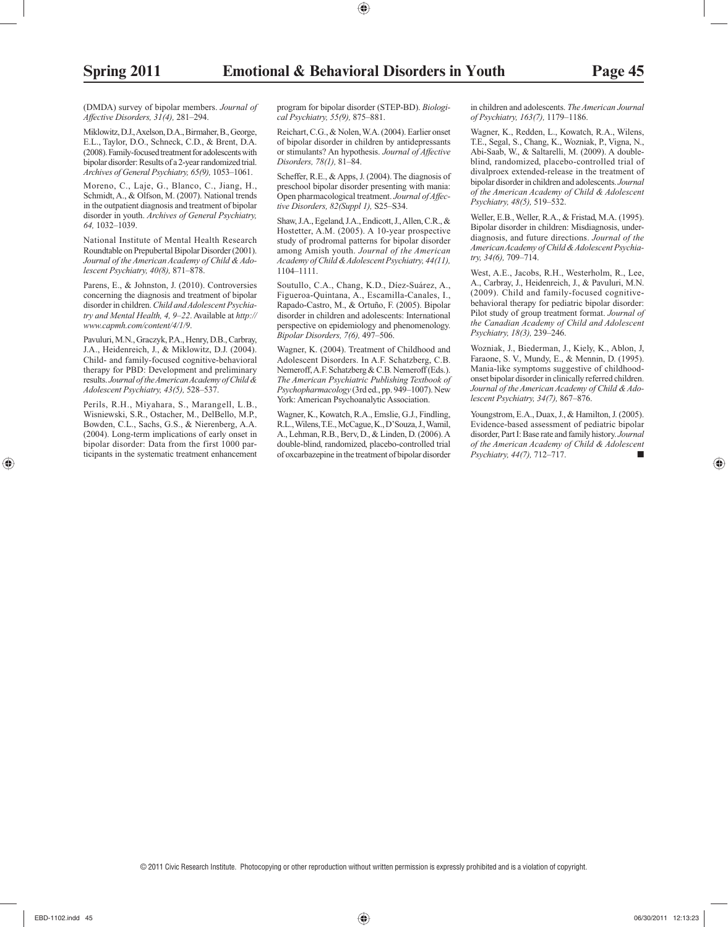(DMDA) survey of bipolar members. *Journal of Affective Disorders, 31(4),* 281–294.

 Miklowitz, D.J., Axelson, D.A., Birmaher, B., George, E.L., Taylor, D.O., Schneck, C.D., & Brent, D.A. (2008). Family-focused treatment for adolescents with bipolar disorder: Results of a 2-year randomized trial. *Archives of General Psychiatry, 65(9),* 1053–1061.

 Moreno, C., Laje, G., Blanco, C., Jiang, H., Schmidt, A., & Olfson, M. (2007). National trends in the outpatient diagnosis and treatment of bipolar disorder in youth. *Archives of General Psychiatry, 64,* 1032–1039.

 National Institute of Mental Health Research Roundtable on Prepubertal Bipolar Disorder (2001). *Journal of the American Academy of Child & Adolescent Psychiatry, 40(8),* 871–878.

 Parens, E., & Johnston, J. (2010). Controversies concerning the diagnosis and treatment of bipolar disorder in children. *Child and Adolescent Psychiatry and Mental Health, 4, 9–22* . Available at *http:// www.capmh.com/content/4/1/9* .

 Pavuluri, M.N., Graczyk, P.A., Henry, D.B., Carbray, J.A., Heidenreich, J., & Miklowitz, D.J. (2004). Child- and family-focused cognitive-behavioral therapy for PBD: Development and preliminary results. *Journal of the American Academy of Child & Adolescent Psychiatry, 43(5),* 528–537.

 Perils, R.H., Miyahara, S., Marangell, L.B., Wisniewski, S.R., Ostacher, M., DelBello, M.P., Bowden, C.L., Sachs, G.S., & Nierenberg, A.A. (2004). Long-term implications of early onset in bipolar disorder: Data from the first 1000 participants in the systematic treatment enhancement program for bipolar disorder (STEP-BD). *Biological Psychiatry, 55(9),* 875–881.

 Reichart, C.G., & Nolen, W.A. (2004). Earlier onset of bipolar disorder in children by antidepressants or stimulants? An hypothesis. *Journal of Affective Disorders, 78(1),* 81–84.

 Scheffer, R.E., & Apps, J. (2004). The diagnosis of preschool bipolar disorder presenting with mania: Open pharmacological treatment. *Journal of Affective Disorders, 82(Suppl 1),* S25–S34.

 Shaw, J.A., Egeland, J.A., Endicott, J., Allen, C.R., & Hostetter, A.M. (2005). A 10-year prospective study of prodromal patterns for bipolar disorder among Amish youth. *Journal of the American Academy of Child & Adolescent Psychiatry, 44(11),* 1104–1111.

 Soutullo, C.A., Chang, K.D., Díez-Suárez, A., Figueroa-Quintana, A., Escamilla-Canales, I., Rapado-Castro, M., & Ortuño, F. (2005). Bipolar disorder in children and adolescents: International perspective on epidemiology and phenomenology. *Bipolar Disorders, 7(6),* 497–506.

 Wagner, K. (2004). Treatment of Childhood and Adolescent Disorders. In A.F. Schatzberg, C.B. Nemeroff, A.F. Schatzberg & C.B. Nemeroff (Eds.). *The American Psychiatric Publishing Textbook of Psychopharmacology* (3rd ed., pp. 949–1007). New York: American Psychoanalytic Association.

 Wagner, K., Kowatch, R.A., Emslie, G.J., Findling, R.L., Wilens, T.E., McCague, K., D'Souza, J., Wamil, A., Lehman, R.B., Berv, D., & Linden, D. (2006). A double-blind, randomized, placebo-controlled trial of oxcarbazepine in the treatment of bipolar disorder in children and adolescents. *The American Journal of Psychiatry, 163(7),* 1179–1186.

 Wagner, K., Redden, L., Kowatch, R.A., Wilens, T.E., Segal, S., Chang, K., Wozniak, P., Vigna, N., Abi-Saab, W., & Saltarelli, M. (2009). A doubleblind, randomized, placebo-controlled trial of divalproex extended-release in the treatment of bipolar disorder in children and adolescents. *Journal of the American Academy of Child & Adolescent Psychiatry, 48(5),* 519–532.

 Weller, E.B., Weller, R.A., & Fristad, M.A. (1995). Bipolar disorder in children: Misdiagnosis, underdiagnosis, and future directions. *Journal of the American Academy of Child & Adolescent Psychiatry, 34(6),* 709–714.

 West, A.E., Jacobs, R.H., Westerholm, R., Lee, A., Carbray, J., Heidenreich, J., & Pavuluri, M.N. (2009). Child and family-focused cognitive behavioral therapy for pediatric bipolar disorder: Pilot study of group treatment format. *Journal of the Canadian Academy of Child and Adolescent Psychiatry, 18(3),* 239–246.

 Wozniak, J., Biederman, J., Kiely, K., Ablon, J, Faraone, S. V., Mundy, E., & Mennin, D. (1995). Mania-like symptoms suggestive of childhoodonset bipolar disorder in clinically referred children. *Journal of the American Academy of Child & Adolescent Psychiatry, 34(7),* 867–876.

 Youngstrom, E.A., Duax, J., & Hamilton, J. (2005). Evidence-based assessment of pediatric bipolar disorder, Part I: Base rate and family history. *Journal of the American Academy of Child & Adolescent Psychiatry, 44(7),* 712–717. ■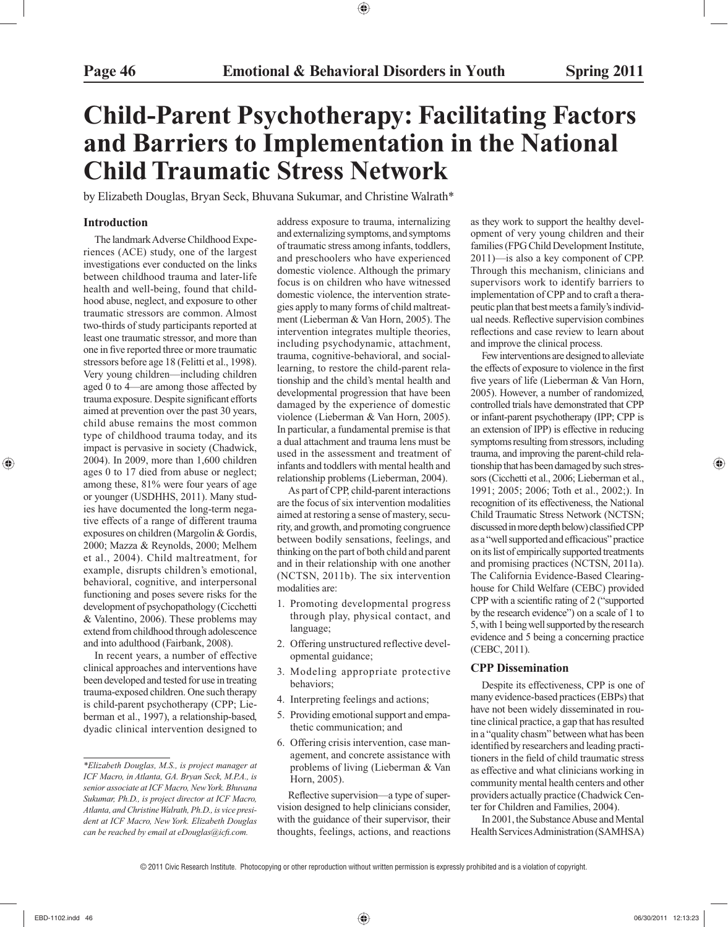## **Child-Parent Psychotherapy: Facilitating Factors and Barriers to Implementation in the National Child Traumatic Stress Network**

by Elizabeth Douglas, Bryan Seck, Bhuvana Sukumar, and Christine Walrath\*

#### **Introduction**

 The landmark Adverse Childhood Experiences (ACE) study, one of the largest investigations ever conducted on the links between childhood trauma and later-life health and well-being, found that childhood abuse, neglect, and exposure to other traumatic stressors are common. Almost two-thirds of study participants reported at least one traumatic stressor, and more than one in five reported three or more traumatic stressors before age 18 (Felitti et al., 1998). Very young children—including children aged 0 to 4—are among those affected by trauma exposure. Despite significant efforts aimed at prevention over the past 30 years, child abuse remains the most common type of childhood trauma today, and its impact is pervasive in society (Chadwick, 2004). In 2009, more than 1,600 children ages 0 to 17 died from abuse or neglect; among these, 81% were four years of age or younger (USDHHS, 2011). Many studies have documented the long-term negative effects of a range of different trauma exposures on children (Margolin & Gordis, 2000; Mazza & Reynolds, 2000; Melhem et al., 2004). Child maltreatment, for example, disrupts children's emotional, behavioral, cognitive, and interpersonal functioning and poses severe risks for the development of psychopathology (Cicchetti & Valentino, 2006). These problems may extend from childhood through adolescence and into adulthood (Fairbank, 2008).

 In recent years, a number of effective clinical approaches and interventions have been developed and tested for use in treating trauma-exposed children. One such therapy is child-parent psychotherapy (CPP; Lieberman et al., 1997), a relationship-based, dyadic clinical intervention designed to address exposure to trauma, internalizing and externalizing symptoms, and symptoms of traumatic stress among infants, toddlers, and preschoolers who have experienced domestic violence. Although the primary focus is on children who have witnessed domestic violence, the intervention strategies apply to many forms of child maltreatment (Lieberman & Van Horn, 2005). The intervention integrates multiple theories, including psychodynamic, attachment, trauma, cognitive-behavioral, and sociallearning, to restore the child-parent relationship and the child's mental health and developmental progression that have been damaged by the experience of domestic violence (Lieberman & Van Horn, 2005). In particular, a fundamental premise is that a dual attachment and trauma lens must be used in the assessment and treatment of infants and toddlers with mental health and relationship problems (Lieberman, 2004).

 As part of CPP, child-parent interactions are the focus of six intervention modalities aimed at restoring a sense of mastery, security, and growth, and promoting congruence between bodily sensations, feelings, and thinking on the part of both child and parent and in their relationship with one another (NCTSN, 2011b). The six intervention modalities are:

- 1. Promoting developmental progress through play, physical contact, and language;
- 2. Offering unstructured reflective developmental guidance;
- 3. Modeling appropriate protective behaviors;
- 4. Interpreting feelings and actions;
- 5. Providing emotional support and empathetic communication; and
- 6. Offering crisis intervention, case management, and concrete assistance with problems of living (Lieberman & Van Horn, 2005).

Reflective supervision—a type of supervision designed to help clinicians consider, with the guidance of their supervisor, their thoughts, feelings, actions, and reactions

as they work to support the healthy development of very young children and their families (FPG Child Development Institute, 2011)—is also a key component of CPP. Through this mechanism, clinicians and supervisors work to identify barriers to implementation of CPP and to craft a therapeutic plan that best meets a family's individual needs. Reflective supervision combines reflections and case review to learn about and improve the clinical process.

 Few interventions are designed to alleviate the effects of exposure to violence in the first five years of life (Lieberman & Van Horn, 2005). However, a number of randomized, controlled trials have demonstrated that CPP or infant-parent psychotherapy (IPP; CPP is an extension of IPP) is effective in reducing symptoms resulting from stressors, including trauma, and improving the parent-child relationship that has been damaged by such stressors (Cicchetti et al., 2006; Lieberman et al., 1991; 2005; 2006; Toth et al., 2002;). In recognition of its effectiveness, the National Child Traumatic Stress Network (NCTSN; discussed in more depth below) classified CPP as a "well supported and efficacious" practice on its list of empirically supported treatments and promising practices (NCTSN, 2011a). The California Evidence-Based Clearinghouse for Child Welfare (CEBC) provided CPP with a scientific rating of 2 ("supported by the research evidence") on a scale of 1 to 5, with 1 being well supported by the research evidence and 5 being a concerning practice (CEBC, 2011).

#### **CPP Dissemination**

 Despite its effectiveness, CPP is one of many evidence-based practices (EBPs) that have not been widely disseminated in routine clinical practice, a gap that has resulted in a "quality chasm" between what has been identified by researchers and leading practitioners in the field of child traumatic stress as effective and what clinicians working in community mental health centers and other providers actually practice (Chadwick Center for Children and Families, 2004).

 In 2001, the Substance Abuse and Mental Health Services Administration (SAMHSA)

*<sup>\*</sup>Elizabeth Douglas, M.S., is project manager at ICF Macro, in Atlanta, GA. Bryan Seck, M.P.A., is senior associate at ICF Macro, New York. Bhuvana Sukumar, Ph.D., is project director at ICF Macro, Atlanta, and Christine Walrath, Ph.D., is vice president at ICF Macro, New York. Elizabeth Douglas can be reached by email at eDouglas@icfi .com.*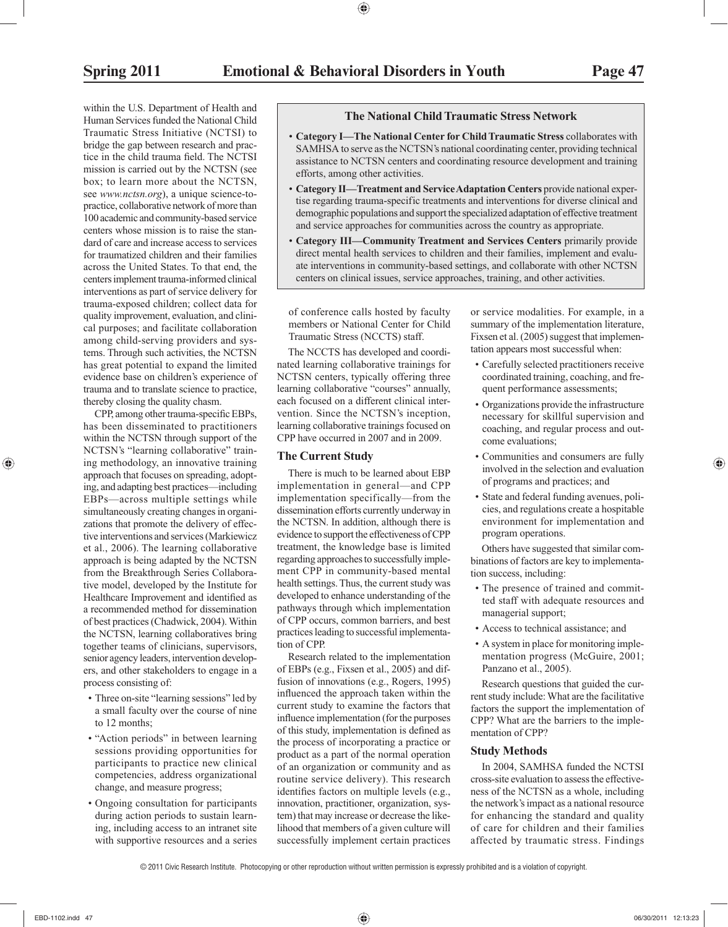within the U.S. Department of Health and Human Services funded the National Child Traumatic Stress Initiative (NCTSI) to bridge the gap between research and practice in the child trauma field. The NCTSI mission is carried out by the NCTSN (see box; to learn more about the NCTSN, see *www.nctsn.org*), a unique science-topractice, collaborative network of more than 100 academic and community-based service centers whose mission is to raise the standard of care and increase access to services for traumatized children and their families across the United States. To that end, the centers implement trauma-informed clinical interventions as part of service delivery for trauma-exposed children; collect data for quality improvement, evaluation, and clinical purposes; and facilitate collaboration among child-serving providers and systems. Through such activities, the NCTSN has great potential to expand the limited evidence base on children's experience of trauma and to translate science to practice, thereby closing the quality chasm.

CPP, among other trauma-specific EBPs, has been disseminated to practitioners within the NCTSN through support of the NCTSN's "learning collaborative" training methodology, an innovative training approach that focuses on spreading, adopting, and adapting best practices—including EBPs—across multiple settings while simultaneously creating changes in organizations that promote the delivery of effective interventions and services (Markiewicz et al., 2006). The learning collaborative approach is being adapted by the NCTSN from the Breakthrough Series Collaborative model, developed by the Institute for Healthcare Improvement and identified as a recommended method for dissemination of best practices (Chadwick, 2004). Within the NCTSN, learning collaboratives bring together teams of clinicians, supervisors, senior agency leaders, intervention developers, and other stakeholders to engage in a process consisting of:

- Three on-site "learning sessions" led by a small faculty over the course of nine to 12 months;
- "Action periods" in between learning sessions providing opportunities for participants to practice new clinical competencies, address organizational change, and measure progress;
- Ongoing consultation for participants during action periods to sustain learning, including access to an intranet site with supportive resources and a series

#### **The National Child Traumatic Stress Network**

- Category I-The National Center for Child Traumatic Stress collaborates with SAMHSA to serve as the NCTSN's national coordinating center, providing technical assistance to NCTSN centers and coordinating resource development and training efforts, among other activities.
- Category II—Treatment and Service Adaptation Centers provide national expertise regarding trauma-specific treatments and interventions for diverse clinical and demographic populations and support the specialized adaptation of effective treatment and service approaches for communities across the country as appropriate.
- Category III—Community Treatment and Services Centers primarily provide direct mental health services to children and their families, implement and evaluate interventions in community-based settings, and collaborate with other NCTSN centers on clinical issues, service approaches, training, and other activities.

of conference calls hosted by faculty members or National Center for Child Traumatic Stress (NCCTS) staff.

 The NCCTS has developed and coordinated learning collaborative trainings for NCTSN centers, typically offering three learning collaborative "courses" annually, each focused on a different clinical intervention. Since the NCTSN's inception, learning collaborative trainings focused on CPP have occurred in 2007 and in 2009.

#### **The Current Study**

 There is much to be learned about EBP implementation in general—and CPP implementation specifically—from the dissemination efforts currently underway in the NCTSN. In addition, although there is evidence to support the effectiveness of CPP treatment, the knowledge base is limited regarding approaches to successfully implement CPP in community-based mental health settings. Thus, the current study was developed to enhance understanding of the pathways through which implementation of CPP occurs, common barriers, and best practices leading to successful implementation of CPP.

 Research related to the implementation of EBPs (e.g., Fixsen et al., 2005) and diffusion of innovations (e.g., Rogers, 1995) influenced the approach taken within the current study to examine the factors that influence implementation (for the purposes of this study, implementation is defined as the process of incorporating a practice or product as a part of the normal operation of an organization or community and as routine service delivery). This research identifies factors on multiple levels (e.g., innovation, practitioner, organization, system) that may increase or decrease the likelihood that members of a given culture will successfully implement certain practices or service modalities. For example, in a summary of the implementation literature, Fixsen et al. (2005) suggest that implementation appears most successful when:

- Carefully selected practitioners receive coordinated training, coaching, and frequent performance assessments;
- Organizations provide the infrastructure necessary for skillful supervision and coaching, and regular process and outcome evaluations;
- Communities and consumers are fully involved in the selection and evaluation of programs and practices; and
- State and federal funding avenues, policies, and regulations create a hospitable environment for implementation and program operations.

 Others have suggested that similar combinations of factors are key to implementation success, including:

- The presence of trained and committed staff with adequate resources and managerial support;
- Access to technical assistance; and
- A system in place for monitoring implementation progress (McGuire, 2001; Panzano et al., 2005).

 Research questions that guided the current study include: What are the facilitative factors the support the implementation of CPP? What are the barriers to the implementation of CPP?

#### **Study Methods**

 In 2004, SAMHSA funded the NCTSI cross-site evaluation to assess the effectiveness of the NCTSN as a whole, including the network's impact as a national resource for enhancing the standard and quality of care for children and their families affected by traumatic stress. Findings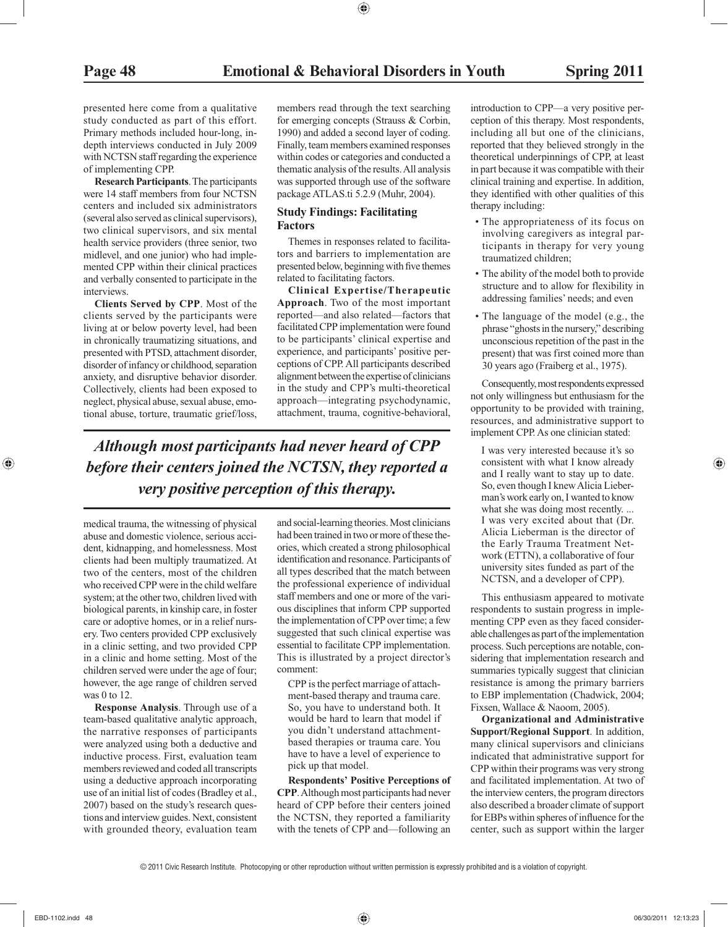presented here come from a qualitative study conducted as part of this effort. Primary methods included hour-long, indepth interviews conducted in July 2009 with NCTSN staff regarding the experience of implementing CPP.

 **Research Participants**. The participants were 14 staff members from four NCTSN centers and included six administrators (several also served as clinical supervisors), two clinical supervisors, and six mental health service providers (three senior, two midlevel, and one junior) who had implemented CPP within their clinical practices and verbally consented to participate in the interviews.

 **Clients Served by CPP**. Most of the clients served by the participants were living at or below poverty level, had been in chronically traumatizing situations, and presented with PTSD, attachment disorder, disorder of infancy or childhood, separation anxiety, and disruptive behavior disorder. Collectively, clients had been exposed to neglect, physical abuse, sexual abuse, emotional abuse, torture, traumatic grief/loss, members read through the text searching for emerging concepts (Strauss & Corbin, 1990) and added a second layer of coding. Finally, team members examined responses within codes or categories and conducted a thematic analysis of the results. All analysis was supported through use of the software package ATLAS.ti 5.2.9 (Muhr, 2004).

#### **Study Findings: Facilitating Factors**

 Themes in responses related to facilitators and barriers to implementation are presented below, beginning with five themes related to facilitating factors.

 **Clinical Expertise/Therapeutic Approach**. Two of the most important reported—and also related—factors that facilitated CPP implementation were found to be participants' clinical expertise and experience, and participants' positive perceptions of CPP. All participants described alignment between the expertise of clinicians in the study and CPP's multi-theoretical approach—integrating psychodynamic, attachment, trauma, cognitive-behavioral,

*Although most participants had never heard of CPP before their centers joined the NCTSN, they reported a very positive perception of this therapy.*

medical trauma, the witnessing of physical abuse and domestic violence, serious accident, kidnapping, and homelessness. Most clients had been multiply traumatized. At two of the centers, most of the children who received CPP were in the child welfare system; at the other two, children lived with biological parents, in kinship care, in foster care or adoptive homes, or in a relief nursery. Two centers provided CPP exclusively in a clinic setting, and two provided CPP in a clinic and home setting. Most of the children served were under the age of four; however, the age range of children served was 0 to 12.

 **Response Analysis**. Through use of a team-based qualitative analytic approach, the narrative responses of participants were analyzed using both a deductive and inductive process. First, evaluation team members reviewed and coded all transcripts using a deductive approach incorporating use of an initial list of codes (Bradley et al., 2007) based on the study's research questions and interview guides. Next, consistent with grounded theory, evaluation team

and social-learning theories. Most clinicians had been trained in two or more of these theories, which created a strong philosophical identification and resonance. Participants of all types described that the match between the professional experience of individual staff members and one or more of the various disciplines that inform CPP supported the implementation of CPP over time; a few suggested that such clinical expertise was essential to facilitate CPP implementation. This is illustrated by a project director's comment:

 CPP is the perfect marriage of attachment-based therapy and trauma care. So, you have to understand both. It would be hard to learn that model if you didn't understand attachmentbased therapies or trauma care. You have to have a level of experience to pick up that model.

 **Respondents' Positive Perceptions of CPP**. Although most participants had never heard of CPP before their centers joined the NCTSN, they reported a familiarity with the tenets of CPP and—following an

introduction to CPP—a very positive perception of this therapy. Most respondents, including all but one of the clinicians, reported that they believed strongly in the theoretical underpinnings of CPP, at least in part because it was compatible with their clinical training and expertise. In addition, they identified with other qualities of this therapy including:

- The appropriateness of its focus on involving caregivers as integral participants in therapy for very young traumatized children;
- The ability of the model both to provide structure and to allow for flexibility in addressing families' needs; and even
- The language of the model (e.g., the phrase "ghosts in the nursery," describing unconscious repetition of the past in the present) that was first coined more than 30 years ago (Fraiberg et al., 1975).

 Consequently, most respondents expressed not only willingness but enthusiasm for the opportunity to be provided with training, resources, and administrative support to implement CPP. As one clinician stated:

 I was very interested because it's so consistent with what I know already and I really want to stay up to date. So, even though I knew Alicia Lieberman's work early on, I wanted to know what she was doing most recently. ... I was very excited about that (Dr. Alicia Lieberman is the director of the Early Trauma Treatment Network (ETTN), a collaborative of four university sites funded as part of the NCTSN, and a developer of CPP).

 This enthusiasm appeared to motivate respondents to sustain progress in implementing CPP even as they faced considerable challenges as part of the implementation process. Such perceptions are notable, considering that implementation research and summaries typically suggest that clinician resistance is among the primary barriers to EBP implementation (Chadwick, 2004; Fixsen, Wallace & Naoom, 2005).

 **Organizational and Administrative Support/Regional Support**. In addition, many clinical supervisors and clinicians indicated that administrative support for CPP within their programs was very strong and facilitated implementation. At two of the interview centers, the program directors also described a broader climate of support for EBPs within spheres of influence for the center, such as support within the larger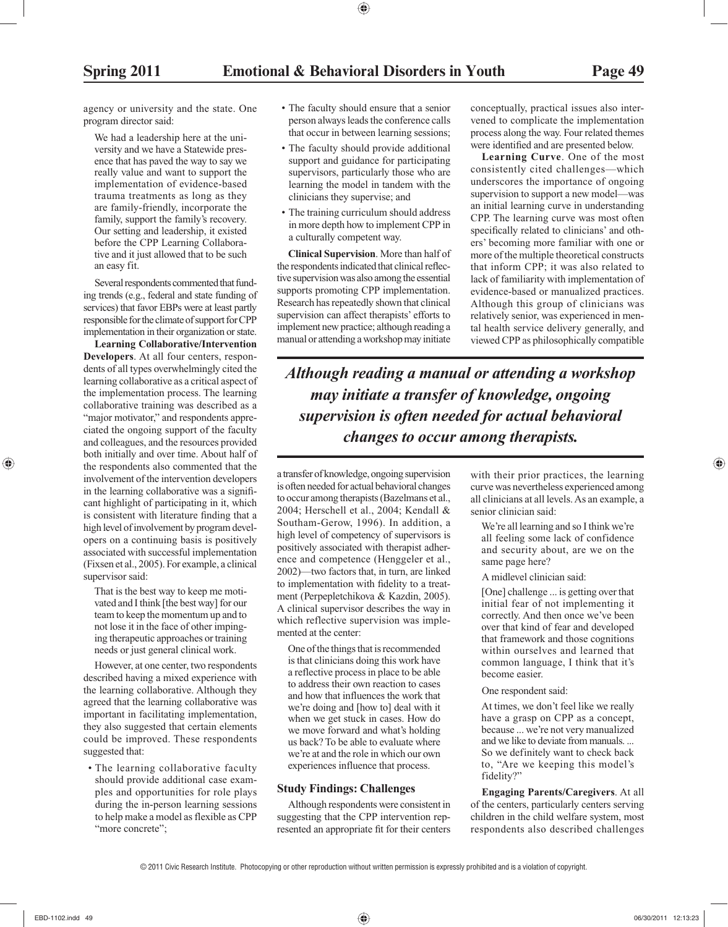agency or university and the state. One program director said:

 We had a leadership here at the university and we have a Statewide presence that has paved the way to say we really value and want to support the implementation of evidence-based trauma treatments as long as they are family-friendly, incorporate the family, support the family's recovery. Our setting and leadership, it existed before the CPP Learning Collaborative and it just allowed that to be such an easy fit.

 Several respondents commented that funding trends (e.g., federal and state funding of services) that favor EBPs were at least partly responsible for the climate of support for CPP implementation in their organization or state.

 **Learning Collaborative/Intervention Developers**. At all four centers, respondents of all types overwhelmingly cited the learning collaborative as a critical aspect of the implementation process. The learning collaborative training was described as a "major motivator," and respondents appreciated the ongoing support of the faculty and colleagues, and the resources provided both initially and over time. About half of the respondents also commented that the involvement of the intervention developers in the learning collaborative was a significant highlight of participating in it, which is consistent with literature finding that a high level of involvement by program developers on a continuing basis is positively associated with successful implementation (Fixsen et al., 2005). For example, a clinical supervisor said:

 That is the best way to keep me motivated and I think [the best way] for our team to keep the momentum up and to not lose it in the face of other impinging therapeutic approaches or training needs or just general clinical work.

 However, at one center, two respondents described having a mixed experience with the learning collaborative. Although they agreed that the learning collaborative was important in facilitating implementation, they also suggested that certain elements could be improved. These respondents suggested that:

• The learning collaborative faculty should provide additional case examples and opportunities for role plays during the in-person learning sessions to help make a model as flexible as CPP "more concrete";

- The faculty should ensure that a senior person always leads the conference calls that occur in between learning sessions;
- The faculty should provide additional support and guidance for participating supervisors, particularly those who are learning the model in tandem with the clinicians they supervise; and
- The training curriculum should address in more depth how to implement CPP in a culturally competent way.

 **Clinical Supervision**. More than half of the respondents indicated that clinical reflective supervision was also among the essential supports promoting CPP implementation. Research has repeatedly shown that clinical supervision can affect therapists' efforts to implement new practice; although reading a manual or attending a workshop may initiate

conceptually, practical issues also intervened to complicate the implementation process along the way. Four related themes were identified and are presented below.

 **Learning Curve**. One of the most consistently cited challenges—which underscores the importance of ongoing supervision to support a new model—was an initial learning curve in understanding CPP. The learning curve was most often specifically related to clinicians' and others' becoming more familiar with one or more of the multiple theoretical constructs that inform CPP; it was also related to lack of familiarity with implementation of evidence-based or manualized practices. Although this group of clinicians was relatively senior, was experienced in mental health service delivery generally, and viewed CPP as philosophically compatible

*Although reading a manual or attending a workshop may initiate a transfer of knowledge, ongoing supervision is often needed for actual behavioral changes to occur among therapists.*

a transfer of knowledge, ongoing supervision is often needed for actual behavioral changes to occur among therapists (Bazelmans et al., 2004; Herschell et al., 2004; Kendall & Southam-Gerow, 1996). In addition, a high level of competency of supervisors is positively associated with therapist adherence and competence (Henggeler et al., 2002)—two factors that, in turn, are linked to implementation with fidelity to a treatment (Perpepletchikova & Kazdin, 2005). A clinical supervisor describes the way in which reflective supervision was implemented at the center:

 One of the things that is recommended is that clinicians doing this work have a reflective process in place to be able to address their own reaction to cases and how that influences the work that we're doing and [how to] deal with it when we get stuck in cases. How do we move forward and what's holding us back? To be able to evaluate where we're at and the role in which our own experiences influence that process.

#### **Study Findings: Challenges**

 Although respondents were consistent in suggesting that the CPP intervention represented an appropriate fit for their centers

with their prior practices, the learning curve was nevertheless experienced among all clinicians at all levels. As an example, a senior clinician said:

 We're all learning and so I think we're all feeling some lack of confidence and security about, are we on the same page here?

#### A midlevel clinician said:

 [One] challenge ... is getting over that initial fear of not implementing it correctly. And then once we've been over that kind of fear and developed that framework and those cognitions within ourselves and learned that common language, I think that it's become easier.

One respondent said:

 At times, we don't feel like we really have a grasp on CPP as a concept, because ... we're not very manualized and we like to deviate from manuals. ... So we definitely want to check back to, "Are we keeping this model's fidelity?"

 **Engaging Parents/Caregivers**. At all of the centers, particularly centers serving children in the child welfare system, most respondents also described challenges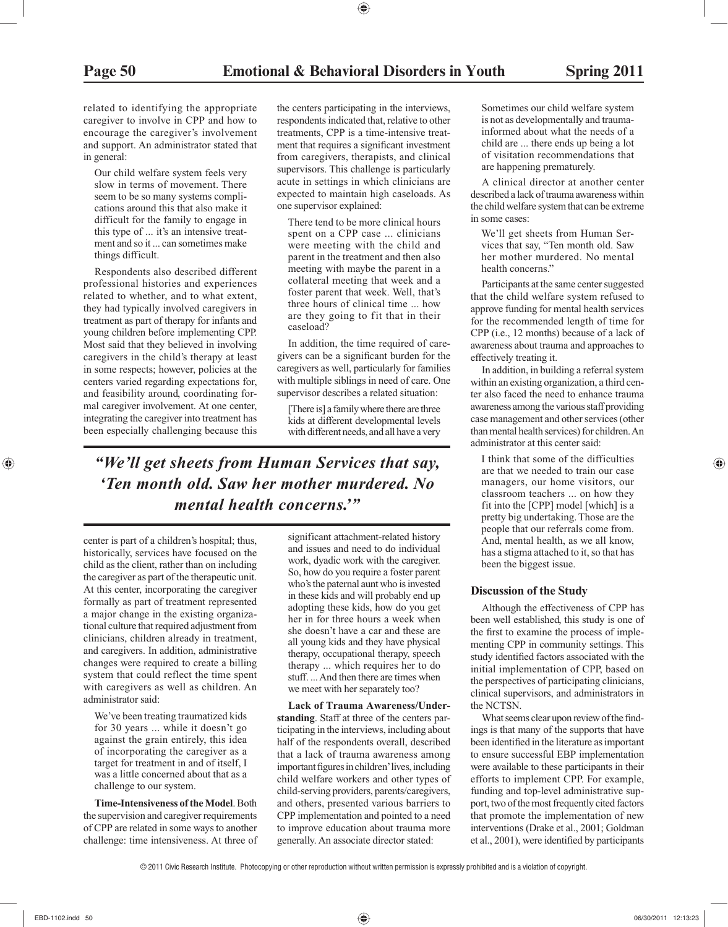related to identifying the appropriate caregiver to involve in CPP and how to encourage the caregiver's involvement and support. An administrator stated that in general:

 Our child welfare system feels very slow in terms of movement. There seem to be so many systems complications around this that also make it difficult for the family to engage in this type of ... it's an intensive treatment and so it ... can sometimes make things difficult.

 Respondents also described different professional histories and experiences related to whether, and to what extent, they had typically involved caregivers in treatment as part of therapy for infants and young children before implementing CPP. Most said that they believed in involving caregivers in the child's therapy at least in some respects; however, policies at the centers varied regarding expectations for, and feasibility around, coordinating formal caregiver involvement. At one center, integrating the caregiver into treatment has been especially challenging because this

the centers participating in the interviews, respondents indicated that, relative to other treatments, CPP is a time-intensive treatment that requires a significant investment from caregivers, therapists, and clinical supervisors. This challenge is particularly acute in settings in which clinicians are expected to maintain high caseloads. As one supervisor explained:

 There tend to be more clinical hours spent on a CPP case ... clinicians were meeting with the child and parent in the treatment and then also meeting with maybe the parent in a collateral meeting that week and a foster parent that week. Well, that's three hours of clinical time ... how are they going to fit that in their caseload?

 In addition, the time required of caregivers can be a significant burden for the caregivers as well, particularly for families with multiple siblings in need of care. One supervisor describes a related situation:

 [There is] a family where there are three kids at different developmental levels with different needs, and all have a very

*"We'll get sheets from Human Services that say, 'Ten month old. Saw her mother murdered. No mental health concerns.'"*

center is part of a children's hospital; thus, historically, services have focused on the child as the client, rather than on including the caregiver as part of the therapeutic unit. At this center, incorporating the caregiver formally as part of treatment represented a major change in the existing organizational culture that required adjustment from clinicians, children already in treatment, and caregivers. In addition, administrative changes were required to create a billing system that could reflect the time spent with caregivers as well as children. An administrator said:

 We've been treating traumatized kids for 30 years ... while it doesn't go against the grain entirely, this idea of incorporating the caregiver as a target for treatment in and of itself, I was a little concerned about that as a challenge to our system.

 **Time-Intensiveness of the Model**. Both the supervision and caregiver requirements of CPP are related in some ways to another challenge: time intensiveness. At three of significant attachment-related history and issues and need to do individual work, dyadic work with the caregiver. So, how do you require a foster parent who's the paternal aunt who is invested in these kids and will probably end up adopting these kids, how do you get her in for three hours a week when she doesn't have a car and these are all young kids and they have physical therapy, occupational therapy, speech therapy ... which requires her to do stuff. ... And then there are times when we meet with her separately too?

 **Lack of Trauma Awareness/Understanding**. Staff at three of the centers participating in the interviews, including about half of the respondents overall, described that a lack of trauma awareness among important figures in children' lives, including child welfare workers and other types of child-serving providers, parents/caregivers, and others, presented various barriers to CPP implementation and pointed to a need to improve education about trauma more generally. An associate director stated:

 Sometimes our child welfare system is not as developmentally and traumainformed about what the needs of a child are ... there ends up being a lot of visitation recommendations that are happening prematurely.

 A clinical director at another center described a lack of trauma awareness within the child welfare system that can be extreme in some cases:

 We'll get sheets from Human Services that say, "Ten month old. Saw her mother murdered. No mental health concerns."

 Participants at the same center suggested that the child welfare system refused to approve funding for mental health services for the recommended length of time for CPP (i.e., 12 months) because of a lack of awareness about trauma and approaches to effectively treating it.

 In addition, in building a referral system within an existing organization, a third center also faced the need to enhance trauma awareness among the various staff providing case management and other services (other than mental health services) for children. An administrator at this center said:

 I think that some of the difficulties are that we needed to train our case managers, our home visitors, our classroom teachers ... on how they fit into the [CPP] model [which] is a pretty big undertaking. Those are the people that our referrals come from. And, mental health, as we all know, has a stigma attached to it, so that has been the biggest issue.

#### **Discussion of the Study**

 Although the effectiveness of CPP has been well established, this study is one of the first to examine the process of implementing CPP in community settings. This study identified factors associated with the initial implementation of CPP, based on the perspectives of participating clinicians, clinical supervisors, and administrators in the NCTSN.

What seems clear upon review of the findings is that many of the supports that have been identified in the literature as important to ensure successful EBP implementation were available to these participants in their efforts to implement CPP. For example, funding and top-level administrative support, two of the most frequently cited factors that promote the implementation of new interventions (Drake et al., 2001; Goldman et al., 2001), were identified by participants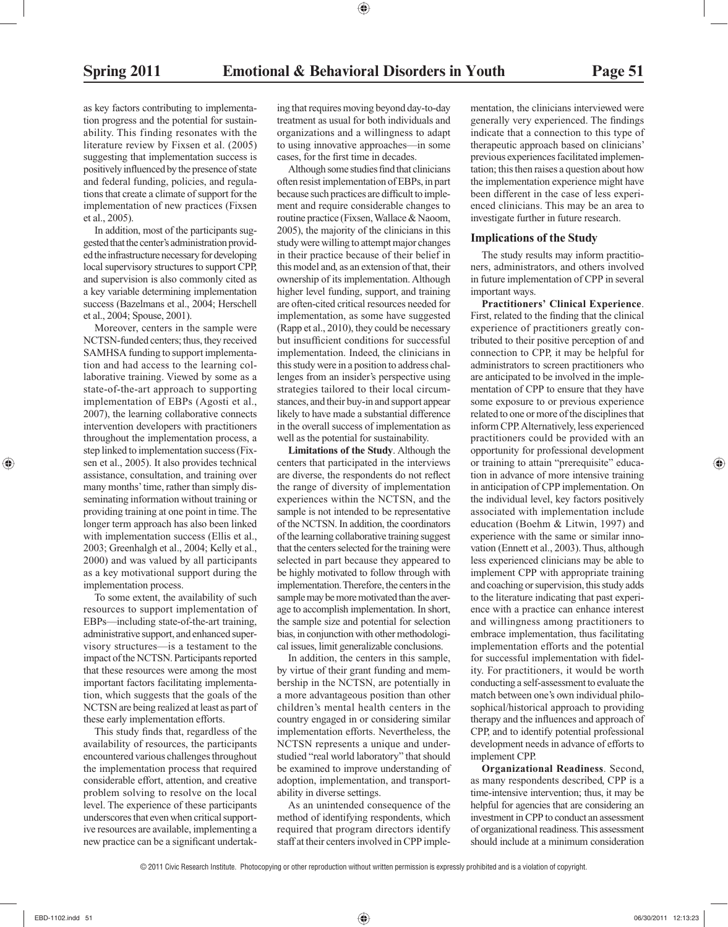as key factors contributing to implementation progress and the potential for sustainability. This finding resonates with the literature review by Fixsen et al. (2005) suggesting that implementation success is positively influenced by the presence of state and federal funding, policies, and regulations that create a climate of support for the implementation of new practices (Fixsen et al., 2005).

 In addition, most of the participants suggested that the center's administration provided the infrastructure necessary for developing local supervisory structures to support CPP, and supervision is also commonly cited as a key variable determining implementation success (Bazelmans et al., 2004; Herschell et al., 2004; Spouse, 2001).

 Moreover, centers in the sample were NCTSN-funded centers; thus, they received SAMHSA funding to support implementation and had access to the learning collaborative training. Viewed by some as a state-of-the-art approach to supporting implementation of EBPs (Agosti et al., 2007), the learning collaborative connects intervention developers with practitioners throughout the implementation process, a step linked to implementation success (Fixsen et al., 2005). It also provides technical assistance, consultation, and training over many months' time, rather than simply disseminating information without training or providing training at one point in time. The longer term approach has also been linked with implementation success (Ellis et al., 2003; Greenhalgh et al., 2004; Kelly et al., 2000) and was valued by all participants as a key motivational support during the implementation process.

 To some extent, the availability of such resources to support implementation of EBPs—including state-of-the-art training, administrative support, and enhanced supervisory structures—is a testament to the impact of the NCTSN. Participants reported that these resources were among the most important factors facilitating implementation, which suggests that the goals of the NCTSN are being realized at least as part of these early implementation efforts.

This study finds that, regardless of the availability of resources, the participants encountered various challenges throughout the implementation process that required considerable effort, attention, and creative problem solving to resolve on the local level. The experience of these participants underscores that even when critical supportive resources are available, implementing a new practice can be a significant undertaking that requires moving beyond day-to-day treatment as usual for both individuals and organizations and a willingness to adapt to using innovative approaches—in some cases, for the first time in decades.

Although some studies find that clinicians often resist implementation of EBPs, in part because such practices are difficult to implement and require considerable changes to routine practice (Fixsen, Wallace & Naoom, 2005), the majority of the clinicians in this study were willing to attempt major changes in their practice because of their belief in this model and, as an extension of that, their ownership of its implementation. Although higher level funding, support, and training are often-cited critical resources needed for implementation, as some have suggested (Rapp et al., 2010), they could be necessary but insufficient conditions for successful implementation. Indeed, the clinicians in this study were in a position to address challenges from an insider's perspective using strategies tailored to their local circumstances, and their buy-in and support appear likely to have made a substantial difference in the overall success of implementation as well as the potential for sustainability.

 **Limitations of the Study**. Although the centers that participated in the interviews are diverse, the respondents do not reflect the range of diversity of implementation experiences within the NCTSN, and the sample is not intended to be representative of the NCTSN. In addition, the coordinators of the learning collaborative training suggest that the centers selected for the training were selected in part because they appeared to be highly motivated to follow through with implementation. Therefore, the centers in the sample may be more motivated than the average to accomplish implementation. In short, the sample size and potential for selection bias, in conjunction with other methodological issues, limit generalizable conclusions.

 In addition, the centers in this sample, by virtue of their grant funding and membership in the NCTSN, are potentially in a more advantageous position than other children's mental health centers in the country engaged in or considering similar implementation efforts. Nevertheless, the NCTSN represents a unique and understudied "real world laboratory" that should be examined to improve understanding of adoption, implementation, and transportability in diverse settings.

 As an unintended consequence of the method of identifying respondents, which required that program directors identify staff at their centers involved in CPP imple-

mentation, the clinicians interviewed were generally very experienced. The findings indicate that a connection to this type of therapeutic approach based on clinicians' previous experiences facilitated implementation; this then raises a question about how the implementation experience might have been different in the case of less experienced clinicians. This may be an area to investigate further in future research.

#### **Implications of the Study**

 The study results may inform practitioners, administrators, and others involved in future implementation of CPP in several important ways.

 **Practitioners' Clinical Experience**. First, related to the finding that the clinical experience of practitioners greatly contributed to their positive perception of and connection to CPP, it may be helpful for administrators to screen practitioners who are anticipated to be involved in the implementation of CPP to ensure that they have some exposure to or previous experience related to one or more of the disciplines that inform CPP. Alternatively, less experienced practitioners could be provided with an opportunity for professional development or training to attain "prerequisite" education in advance of more intensive training in anticipation of CPP implementation. On the individual level, key factors positively associated with implementation include education (Boehm & Litwin, 1997) and experience with the same or similar innovation (Ennett et al., 2003). Thus, although less experienced clinicians may be able to implement CPP with appropriate training and coaching or supervision, this study adds to the literature indicating that past experience with a practice can enhance interest and willingness among practitioners to embrace implementation, thus facilitating implementation efforts and the potential for successful implementation with fidelity. For practitioners, it would be worth conducting a self-assessment to evaluate the match between one's own individual philosophical/historical approach to providing therapy and the influences and approach of CPP, and to identify potential professional development needs in advance of efforts to implement CPP.

 **Organizational Readiness**. Second, as many respondents described, CPP is a time-intensive intervention; thus, it may be helpful for agencies that are considering an investment in CPP to conduct an assessment of organizational readiness. This assessment should include at a minimum consideration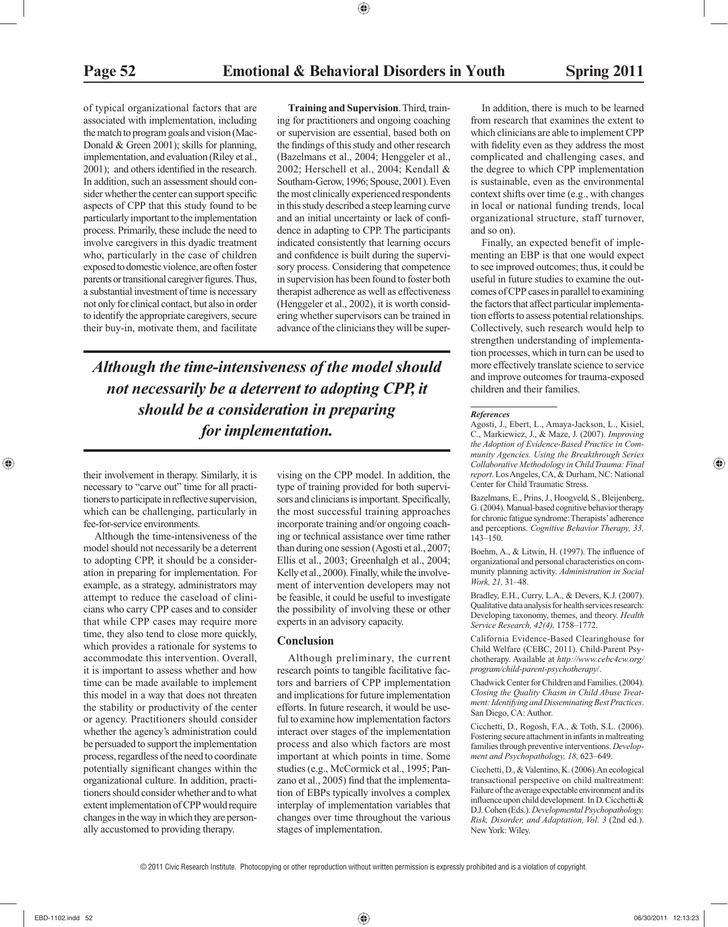of typical organizational factors that are associated with implementation, including the match to program goals and vision (Mac-Donald & Green 2001); skills for planning, implementation, and evaluation (Riley et al., 2001); and others identified in the research. In addition, such an assessment should consider whether the center can support specific aspects of CPP that this study found to be particularly important to the implementation process. Primarily, these include the need to involve caregivers in this dyadic treatment who, particularly in the case of children exposed to domestic violence, are often foster parents or transitional caregiver figures. Thus, a substantial investment of time is necessary not only for clinical contact, but also in order to identify the appropriate caregivers, secure their buy-in, motivate them, and facilitate

 **Training and Supervision**. Third, training for practitioners and ongoing coaching or supervision are essential, based both on the findings of this study and other research (Bazelmans et al., 2004; Henggeler et al., 2002; Herschell et al., 2004; Kendall & Southam-Gerow, 1996; Spouse, 2001). Even the most clinically experienced respondents in this study described a steep learning curve and an initial uncertainty or lack of confidence in adapting to CPP. The participants indicated consistently that learning occurs and confidence is built during the supervisory process. Considering that competence in supervision has been found to foster both therapist adherence as well as effectiveness (Henggeler et al., 2002), it is worth considering whether supervisors can be trained in advance of the clinicians they will be super-

*Although the time-intensiveness of the model should not necessarily be a deterrent to adopting CPP, it should be a consideration in preparing for implementation.*

their involvement in therapy. Similarly, it is necessary to "carve out" time for all practitioners to participate in reflective supervision, which can be challenging, particularly in fee-for-service environments.

 Although the time-intensiveness of the model should not necessarily be a deterrent to adopting CPP, it should be a consideration in preparing for implementation. For example, as a strategy, administrators may attempt to reduce the caseload of clinicians who carry CPP cases and to consider that while CPP cases may require more time, they also tend to close more quickly, which provides a rationale for systems to accommodate this intervention. Overall, it is important to assess whether and how time can be made available to implement this model in a way that does not threaten the stability or productivity of the center or agency. Practitioners should consider whether the agency's administration could be persuaded to support the implementation process, regardless of the need to coordinate potentially significant changes within the organizational culture. In addition, practitioners should consider whether and to what extent implementation of CPP would require changes in the way in which they are personally accustomed to providing therapy.

vising on the CPP model. In addition, the type of training provided for both supervisors and clinicians is important. Specifically, the most successful training approaches incorporate training and/or ongoing coaching or technical assistance over time rather than during one session (Agosti et al., 2007; Ellis et al., 2003; Greenhalgh et al., 2004; Kelly et al., 2000). Finally, while the involvement of intervention developers may not be feasible, it could be useful to investigate the possibility of involving these or other experts in an advisory capacity.

#### **Conclusion**

 Although preliminary, the current research points to tangible facilitative factors and barriers of CPP implementation and implications for future implementation efforts. In future research, it would be useful to examine how implementation factors interact over stages of the implementation process and also which factors are most important at which points in time. Some studies (e.g., McCormick et al., 1995; Panzano et al., 2005) find that the implementation of EBPs typically involves a complex interplay of implementation variables that changes over time throughout the various stages of implementation.

 In addition, there is much to be learned from research that examines the extent to which clinicians are able to implement CPP with fidelity even as they address the most complicated and challenging cases, and the degree to which CPP implementation is sustainable, even as the environmental context shifts over time (e.g., with changes in local or national funding trends, local organizational structure, staff turnover, and so on).

 Finally, an expected benefit of implementing an EBP is that one would expect to see improved outcomes; thus, it could be useful in future studies to examine the outcomes of CPP cases in parallel to examining the factors that affect particular implementation efforts to assess potential relationships. Collectively, such research would help to strengthen understanding of implementation processes, which in turn can be used to more effectively translate science to service and improve outcomes for trauma-exposed children and their families.

#### *References*

 Agosti, J., Ebert, L., Amaya-Jackson, L., Kisiel, C., Markiewicz, J., & Maze, J. (2007). *Improving the Adoption of Evidence-Based Practice in Community Agencies. Using the Breakthrough Series Collaborative Methodology in Child Trauma: Final report* . Los Angeles, CA, & Durham, NC: National Center for Child Traumatic Stress.

 Bazelmans, E., Prins, J., Hoogveld, S., Bleijenberg, G. (2004). Manual-based cognitive behavior therapy for chronic fatigue syndrome: Therapists' adherence and perceptions. *Cognitive Behavior Therapy, 33,* 143–150.

Boehm, A., & Litwin, H. (1997). The influence of organizational and personal characteristics on community planning activity. *Administration in Social Work, 21,* 31–48.

 Bradley, E.H., Curry, L.A., & Devers, K.J. (2007). Qualitative data analysis for health services research: Developing taxonomy, themes, and theory. *Health Service Research, 42(4),* 1758–1772.

 California Evidence-Based Clearinghouse for Child Welfare (CEBC, 2011). Child-Parent Psychotherapy. Available at *http://www.cebc4cw.org/ program/child-parent-psychotherapy* /.

 Chadwick Center for Children and Families. (2004). *Closing the Quality Chasm in Child Abuse Treatment: Identifying and Disseminating Best Practices* . San Diego, CA: Author.

 Cicchetti, D., Rogosh, F.A., & Toth, S.L. (2006). Fostering secure attachment in infants in maltreating families through preventive interventions. *Development and Psychopathology, 18,* 623–649.

 Cicchetti, D., & Valentino, K. (2006).An ecological transactional perspective on child maltreatment: Failure of the average expectable environment and its influence upon child development. In D. Cicchetti & D.J. Cohen (Eds.). *Developmental Psychopathology. Risk, Disorder, and Adaptation, Vol. 3* (2nd ed.). New York: Wiley.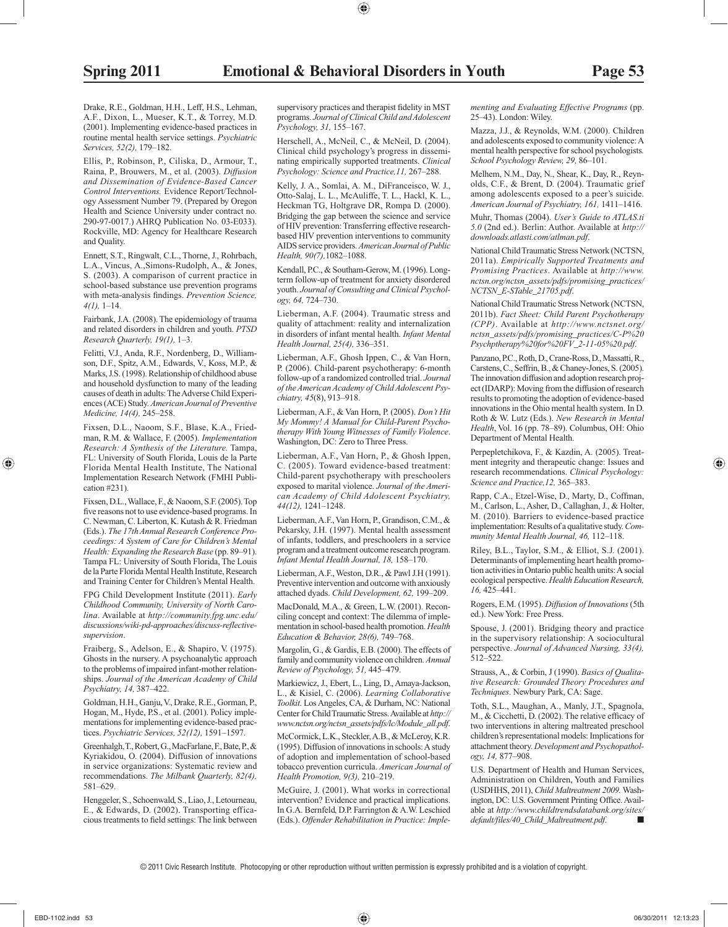Drake, R.E., Goldman, H.H., Leff, H.S., Lehman, A.F., Dixon, L., Mueser, K.T., & Torrey, M.D. (2001). Implementing evidence-based practices in routine mental health service settings. *Psychiatric Services, 52(2),* 179–182.

 Ellis, P., Robinson, P., Ciliska, D., Armour, T., Raina, P., Brouwers, M., et al. (2003). *Diffusion and Dissemination of Evidence-Based Cancer Control Interventions.* Evidence Report/Technology Assessment Number 79. (Prepared by Oregon Health and Science University under contract no. 290-97-0017.) AHRQ Publication No. 03-E033). Rockville, MD: Agency for Healthcare Research and Quality.

 Ennett, S.T., Ringwalt, C.L., Thorne, J., Rohrbach, L.A., Vincus, A.,Simons-Rudolph, A., & Jones, S. (2003). A comparison of current practice in school-based substance use prevention programs with meta-analysis findings. Prevention Science, *4(1),* 1–14.

 Fairbank, J.A. (2008). The epidemiology of trauma and related disorders in children and youth. *PTSD Research Quarterly, 19(1),* 1–3.

 Felitti, V.J., Anda, R.F., Nordenberg, D., Williamson, D.F., Spitz, A.M., Edwards, V., Koss, M.P., & Marks, J.S. (1998). Relationship of childhood abuse and household dysfunction to many of the leading causes of death in adults: The Adverse Child Experiences (ACE) Study. *American Journal of Preventive Medicine, 14(4),* 245–258.

 Fixsen, D.L., Naoom, S.F., Blase, K.A., Friedman, R.M. & Wallace, F. (2005). *Implementation Research: A Synthesis of the Literature.* Tampa, FL: University of South Florida, Louis de la Parte Florida Mental Health Institute, The National Implementation Research Network (FMHI Publication #231).

 Fixsen, D.L., Wallace, F., & Naoom, S.F. (2005). Top five reasons not to use evidence-based programs. In C. Newman, C. Liberton, K. Kutash & R. Friedman (Eds.). *The 17th Annual Research Conference Proceedings: A System of Care for Children's Mental Health: Expanding the Research Base* (pp. 89–91). Tampa FL: University of South Florida, The Louis de la Parte Florida Mental Health Institute, Research and Training Center for Children's Mental Health.

 FPG Child Development Institute (2011). *Early Childhood Community, University of North Carolina* . Available at *http://community.fpg.unc.edu/ discussions/wiki-pd-approaches/discuss-reflectivesupervision* .

 Fraiberg, S., Adelson, E., & Shapiro, V. (1975). Ghosts in the nursery. A psychoanalytic approach to the problems of impaired infant-mother relationships. *Journal of the American Academy of Child Psychiatry, 14,* 387–422.

 Goldman, H.H., Ganju, V., Drake, R.E., Gorman, P., Hogan, M., Hyde, P.S., et al. (2001). Policy implementations for implementing evidence-based practices. *Psychiatric Services, 52(12),* 1591–1597.

 Greenhalgh, T., Robert, G., MacFarlane, F., Bate, P., & Kyriakidou, O. (2004). Diffusion of innovations in service organizations: Systematic review and recommendations. *The Milbank Quarterly, 82(4),* 581–629.

 Henggeler, S., Schoenwald, S., Liao, J., Letourneau, E., & Edwards, D. (2002). Transporting efficacious treatments to field settings: The link between supervisory practices and therapist fidelity in MST programs. *Journal of Clinical Child and Adolescent Psychology, 31,* 155–167.

 Herschell, A., McNeil, C., & McNeil, D. (2004). Clinical child psychology's progress in disseminating empirically supported treatments. *Clinical Psychology: Science and Practice,11,* 267–288.

 Kelly, J. A., Somlai, A. M., DiFranceisco, W. J., Otto-Salaj, L. L., McAuliffe, T. L., Hackl, K. L., Heckman TG, Holtgrave DR, Rompa D. (2000). Bridging the gap between the science and service of HIV prevention: Transferring effective researchbased HIV prevention interventions to community AIDS service providers. *American Journal of Public Health, 90(7),* 1082–1088.

 Kendall, P.C., & Southam-Gerow, M. (1996). Longterm follow-up of treatment for anxiety disordered youth. *Journal of Consulting and Clinical Psychology, 64,* 724–730.

 Lieberman, A.F. (2004). Traumatic stress and quality of attachment: reality and internalization in disorders of infant mental health. *Infant Mental Health Journal, 25(4),* 336–351.

 Lieberman, A.F., Ghosh Ippen, C., & Van Horn, P. (2006). Child-parent psychotherapy: 6-month follow-up of a randomized controlled trial. *Journal of the American Academy of Child Adolescent Psychiatry, 45* (8), 913–918.

 Lieberman, A.F., & Van Horn, P. (2005). *Don't Hit My Mommy! A Manual for Child-Parent Psychotherapy With Young Witnesses of Family Violence* . Washington, DC: Zero to Three Press.

 Lieberman, A.F., Van Horn, P., & Ghosh Ippen, C. (2005). Toward evidence-based treatment: Child-parent psychotherapy with preschoolers exposed to marital violence. *Journal of the American Academy of Child Adolescent Psychiatry, 44(12),* 1241–1248.

 Lieberman, A.F., Van Horn, P., Grandison, C.M., & Pekarsky, J.H. (1997). Mental health assessment of infants, toddlers, and preschoolers in a service program and a treatment outcome research program. *Infant Mental Health Journal, 18,* 158–170.

 Lieberman, A.F., Weston, D.R., & Pawl J.H (1991). Preventive intervention and outcome with anxiously attached dyads. *Child Development, 62,* 199–209.

 MacDonald, M.A., & Green, L.W. (2001). Reconciling concept and context: The dilemma of implementation in school-based health promotion. *Health Education & Behavior, 28(6),* 749–768.

 Margolin, G., & Gardis, E.B. (2000). The effects of family and community violence on children. *Annual Review of Psychology, 51,* 445–479.

 Markiewicz, J., Ebert, L., Ling, D., Amaya-Jackson, L., & Kisiel, C. (2006). *Learning Collaborative Toolkit* . Los Angeles, CA, & Durham, NC: National Center for Child Traumatic Stress. Available at *http:// www.nctsn.org/nctsn\_assets/pdfs/lc/Module\_all.pdf* .

 McCormick, L.K., Steckler, A.B., & McLeroy, K.R. (1995). Diffusion of innovations in schools: A study of adoption and implementation of school-based tobacco prevention curricula. *American Journal of Health Promotion, 9(3),* 210–219.

 McGuire, J. (2001). What works in correctional intervention? Evidence and practical implications. In G.A. Bernfeld, D.P. Farrington & A.W. Leschied (Eds.). *Offender Rehabilitation in Practice: Imple-* *menting and Evaluating Effective Programs* (pp. 25–43). London: Wiley.

 Mazza, J.J., & Reynolds, W.M. (2000). Children and adolescents exposed to community violence: A mental health perspective for school psychologists *. School Psychology Review, 29,* 86–101.

 Melhem, N.M., Day, N., Shear, K., Day, R., Reynolds, C.F., & Brent, D. (2004). Traumatic grief among adolescents exposed to a peer's suicide. *American Journal of Psychiatry, 161,* 1411–1416.

 Muhr, Thomas (2004). *User's Guide to ATLAS.ti 5.0* (2nd ed.). Berlin: Author. Available at *http:// downloads.atlasti.com/atlman.pdf* .

 National Child Traumatic Stress Network (NCTSN, 2011a). *Empirically Supported Treatments and Promising Practices* . Available at *http://www. nctsn.org/nctsn\_assets/pdfs/promising\_practices/ NCTSN\_E-STable\_21705.pdf* .

 National Child Traumatic Stress Network (NCTSN, 2011b). *Fact Sheet: Child Parent Psychotherapy (CPP)* . Available at *http://www.nctsnet.org/ nctsn\_assets/pdfs/promising\_practices/C-P%20 Psychptherapy%20for%20FV\_2-11-05%20.pdf* .

 Panzano, P.C., Roth, D., Crane-Ross, D., Massatti, R., Carstens, C., Seffrin, B., & Chaney-Jones, S. (2005). The innovation diffusion and adoption research project (IDARP): Moving from the diffusion of research results to promoting the adoption of evidence-based innovations in the Ohio mental health system. In D. Roth & W. Lutz (Eds.). *New Research in Mental Health* , Vol. 16 (pp. 78–89). Columbus, OH: Ohio Department of Mental Health.

 Perpepletchikova, F., & Kazdin, A. (2005). Treatment integrity and therapeutic change: Issues and research recommendations. *Clinical Psychology: Science and Practice,12,* 365–383.

 Rapp, C.A., Etzel-Wise, D., Marty, D., Coffman, M., Carlson, L., Asher, D., Callaghan, J., & Holter, M. (2010). Barriers to evidence-based practice implementation: Results of a qualitative study. *Community Mental Health Journal, 46,* 112–118.

 Riley, B.L., Taylor, S.M., & Elliot, S.J. (2001). Determinants of implementing heart health promotion activities in Ontario public health units: A social ecological perspective. *Health Education Research, 16,* 425–441.

 Rogers, E.M. (1995). *Diffusion of Innovations* (5th ed.). New York: Free Press.

 Spouse, J. (2001). Bridging theory and practice in the supervisory relationship: A sociocultural perspective. *Journal of Advanced Nursing, 33(4),* 512–522.

 Strauss, A., & Corbin, J (1990). *Basics of Qualitative Research: Grounded Theory Procedures and Techniques* . Newbury Park, CA: Sage.

 Toth, S.L., Maughan, A., Manly, J.T., Spagnola, M., & Cicchetti, D. (2002). The relative efficacy of two interventions in altering maltreated preschool children's representational models: Implications for attachment theory. *Development and Psychopathology, 14,* 877–908.

 U.S. Department of Health and Human Services, Administration on Children, Youth and Families (USDHHS, 2011), *Child Maltreatment 2009.* Washington, DC: U.S. Government Printing Office. Available at *http://www.childtrendsdatabank.org/sites/ default/files/40\_Child\_Maltreatment.pdf* . ■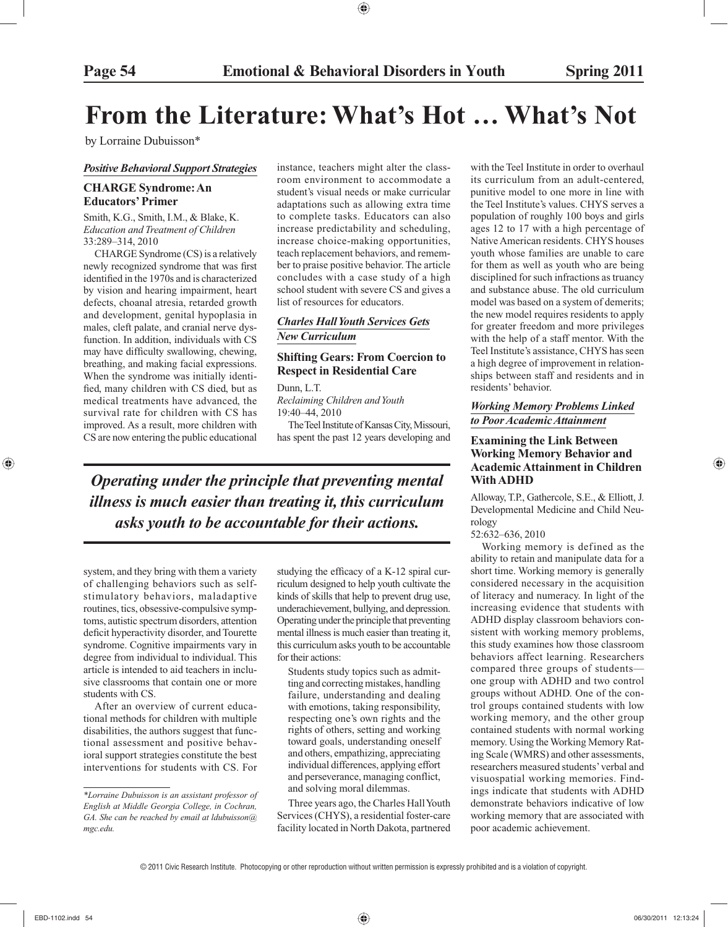## **From the Literature: What's Hot … What's Not**

by Lorraine Dubuisson\*

#### *Positive Behavioral Support Strategies*

#### **CHARGE Syndrome: An Educators' Primer**

 Smith, K.G., Smith, I.M., & Blake, K. *Education and Treatment of Children* 33:289–314, 2010

 CHARGE Syndrome (CS) is a relatively newly recognized syndrome that was first identified in the 1970s and is characterized by vision and hearing impairment, heart defects, choanal atresia, retarded growth and development, genital hypoplasia in males, cleft palate, and cranial nerve dysfunction. In addition, individuals with CS may have difficulty swallowing, chewing, breathing, and making facial expressions. When the syndrome was initially identified, many children with CS died, but as medical treatments have advanced, the survival rate for children with CS has improved. As a result, more children with CS are now entering the public educational

instance, teachers might alter the classroom environment to accommodate a student's visual needs or make curricular adaptations such as allowing extra time to complete tasks. Educators can also increase predictability and scheduling, increase choice-making opportunities, teach replacement behaviors, and remember to praise positive behavior. The article concludes with a case study of a high school student with severe CS and gives a list of resources for educators.

#### *Charles Hall Youth Services Gets New Curriculum*

#### **Shifting Gears: From Coercion to Respect in Residential Care**

Dunn, L.T.

*Reclaiming Children and Youth* 19:40–44, 2010

 The Teel Institute of Kansas City, Missouri, has spent the past 12 years developing and

*Operating under the principle that preventing mental illness is much easier than treating it, this curriculum asks youth to be accountable for their actions.*

system, and they bring with them a variety of challenging behaviors such as self stimulatory behaviors, maladaptive routines, tics, obsessive-compulsive symptoms, autistic spectrum disorders, attention deficit hyperactivity disorder, and Tourette syndrome. Cognitive impairments vary in degree from individual to individual. This article is intended to aid teachers in inclusive classrooms that contain one or more students with CS.

 After an overview of current educational methods for children with multiple disabilities, the authors suggest that functional assessment and positive behavioral support strategies constitute the best interventions for students with CS. For studying the efficacy of a K-12 spiral curriculum designed to help youth cultivate the kinds of skills that help to prevent drug use, underachievement, bullying, and depression. Operating under the principle that preventing mental illness is much easier than treating it, this curriculum asks youth to be accountable for their actions:

 Students study topics such as admitting and correcting mistakes, handling failure, understanding and dealing with emotions, taking responsibility, respecting one's own rights and the rights of others, setting and working toward goals, understanding oneself and others, empathizing, appreciating individual differences, applying effort and perseverance, managing conflict, and solving moral dilemmas.

 Three years ago, the Charles Hall Youth Services (CHYS), a residential foster-care facility located in North Dakota, partnered

with the Teel Institute in order to overhaul its curriculum from an adult-centered, punitive model to one more in line with the Teel Institute's values. CHYS serves a population of roughly 100 boys and girls ages 12 to 17 with a high percentage of Native American residents. CHYS houses youth whose families are unable to care for them as well as youth who are being disciplined for such infractions as truancy and substance abuse. The old curriculum model was based on a system of demerits; the new model requires residents to apply for greater freedom and more privileges with the help of a staff mentor. With the Teel Institute's assistance, CHYS has seen a high degree of improvement in relationships between staff and residents and in residents' behavior.

#### *Working Memory Problems Linked to Poor Academic Attainment*

#### **Examining the Link Between Working Memory Behavior and Academic Attainment in Children With ADHD**

 Alloway, T.P., Gathercole, S.E., & Elliott, J. Developmental Medicine and Child Neurology

52:632–636, 2010

 Working memory is defined as the ability to retain and manipulate data for a short time. Working memory is generally considered necessary in the acquisition of literacy and numeracy. In light of the increasing evidence that students with ADHD display classroom behaviors consistent with working memory problems, this study examines how those classroom behaviors affect learning. Researchers compared three groups of students one group with ADHD and two control groups without ADHD. One of the control groups contained students with low working memory, and the other group contained students with normal working memory. Using the Working Memory Rating Scale (WMRS) and other assessments, researchers measured students' verbal and visuospatial working memories. Findings indicate that students with ADHD demonstrate behaviors indicative of low working memory that are associated with poor academic achievement.

*<sup>\*</sup>Lorraine Dubuisson is an assistant professor of English at Middle Georgia College, in Cochran, GA. She can be reached by email at ldubuisson@ mgc.edu.*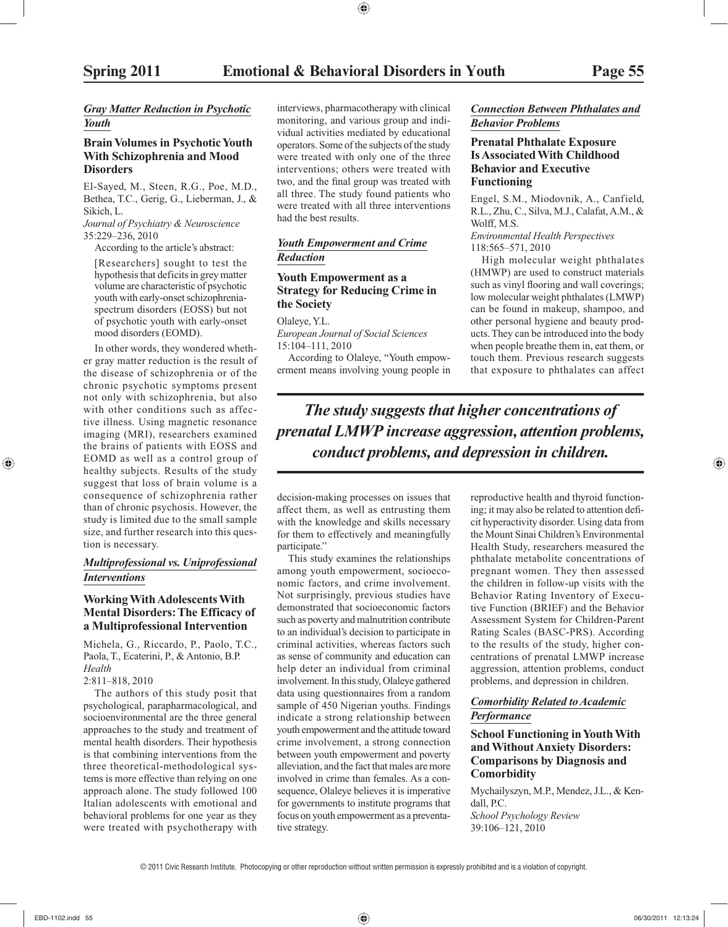#### *Gray Matter Reduction in Psychotic Youth*

#### **Brain Volumes in Psychotic Youth With Schizophrenia and Mood Disorders**

 El-Sayed, M., Steen, R.G., Poe, M.D., Bethea, T.C., Gerig, G., Lieberman, J., & Sikich, L.

*Journal of Psychiatry & Neuroscience* 35:229–236, 2010

According to the article's abstract:

 [Researchers] sought to test the hypothesis that deficits in grey matter volume are characteristic of psychotic youth with early-onset schizophreniaspectrum disorders (EOSS) but not of psychotic youth with early-onset mood disorders (EOMD).

 In other words, they wondered whether gray matter reduction is the result of the disease of schizophrenia or of the chronic psychotic symptoms present not only with schizophrenia, but also with other conditions such as affective illness. Using magnetic resonance imaging (MRI), researchers examined the brains of patients with EOSS and EOMD as well as a control group of healthy subjects. Results of the study suggest that loss of brain volume is a consequence of schizophrenia rather than of chronic psychosis. However, the study is limited due to the small sample size, and further research into this question is necessary.

#### *Multiprofessional vs. Uniprofessional Interventions*

#### **Working With Adolescents With Mental Disorders: The Efficacy of a Multiprofessional Intervention**

 Michela, G., Riccardo, P., Paolo, T.C., Paola, T., Ecaterini, P., & Antonio, B.P. *Health*

#### 2:811–818, 2010

 The authors of this study posit that psychological, parapharmacological, and socioenvironmental are the three general approaches to the study and treatment of mental health disorders. Their hypothesis is that combining interventions from the three theoretical-methodological systems is more effective than relying on one approach alone. The study followed 100 Italian adolescents with emotional and behavioral problems for one year as they were treated with psychotherapy with

interviews, pharmacotherapy with clinical monitoring, and various group and individual activities mediated by educational operators. Some of the subjects of the study were treated with only one of the three interventions; others were treated with two, and the final group was treated with all three. The study found patients who were treated with all three interventions had the best results.

#### *Youth Empowerment and Crime Reduction*

#### **Youth Empowerment as a Strategy for Reducing Crime in the Society**

Olaleye, Y.L.

*European Journal of Social Sciences* 15:104–111, 2010

 According to Olaleye, "Youth empowerment means involving young people in

#### *Connection Between Phthalates and Behavior Problems*

#### **Prenatal Phthalate Exposure Is Associated With Childhood Behavior and Executive Functioning**

 Engel, S.M., Miodovnik, A., Canfield, R.L., Zhu, C., Silva, M.J., Calafat, A.M., & Wolff, M.S.

*Environmental Health Perspectives* 118:565–571, 2010

 High molecular weight phthalates (HMWP) are used to construct materials such as vinyl flooring and wall coverings; low molecular weight phthalates (LMWP) can be found in makeup, shampoo, and other personal hygiene and beauty products. They can be introduced into the body when people breathe them in, eat them, or touch them. Previous research suggests that exposure to phthalates can affect

*The study suggests that higher concentrations of prenatal LMWP increase aggression, attention problems, conduct problems, and depression in children.*

decision-making processes on issues that affect them, as well as entrusting them with the knowledge and skills necessary for them to effectively and meaningfully participate."

 This study examines the relationships among youth empowerment, socioeconomic factors, and crime involvement. Not surprisingly, previous studies have demonstrated that socioeconomic factors such as poverty and malnutrition contribute to an individual's decision to participate in criminal activities, whereas factors such as sense of community and education can help deter an individual from criminal involvement. In this study, Olaleye gathered data using questionnaires from a random sample of 450 Nigerian youths. Findings indicate a strong relationship between youth empowerment and the attitude toward crime involvement, a strong connection between youth empowerment and poverty alleviation, and the fact that males are more involved in crime than females. As a consequence, Olaleye believes it is imperative for governments to institute programs that focus on youth empowerment as a preventative strategy.

reproductive health and thyroid functioning; it may also be related to attention deficit hyperactivity disorder. Using data from the Mount Sinai Children's Environmental Health Study, researchers measured the phthalate metabolite concentrations of pregnant women. They then assessed the children in follow-up visits with the Behavior Rating Inventory of Executive Function (BRIEF) and the Behavior Assessment System for Children-Parent Rating Scales (BASC-PRS). According to the results of the study, higher concentrations of prenatal LMWP increase aggression, attention problems, conduct problems, and depression in children.

#### *Comorbidity Related to Academic Performance*

#### **School Functioning in Youth With and Without Anxiety Disorders: Comparisons by Diagnosis and Comorbidity**

 Mychailyszyn, M.P., Mendez, J.L., & Kendall, P.C. *School Psychology Review* 39:106–121, 2010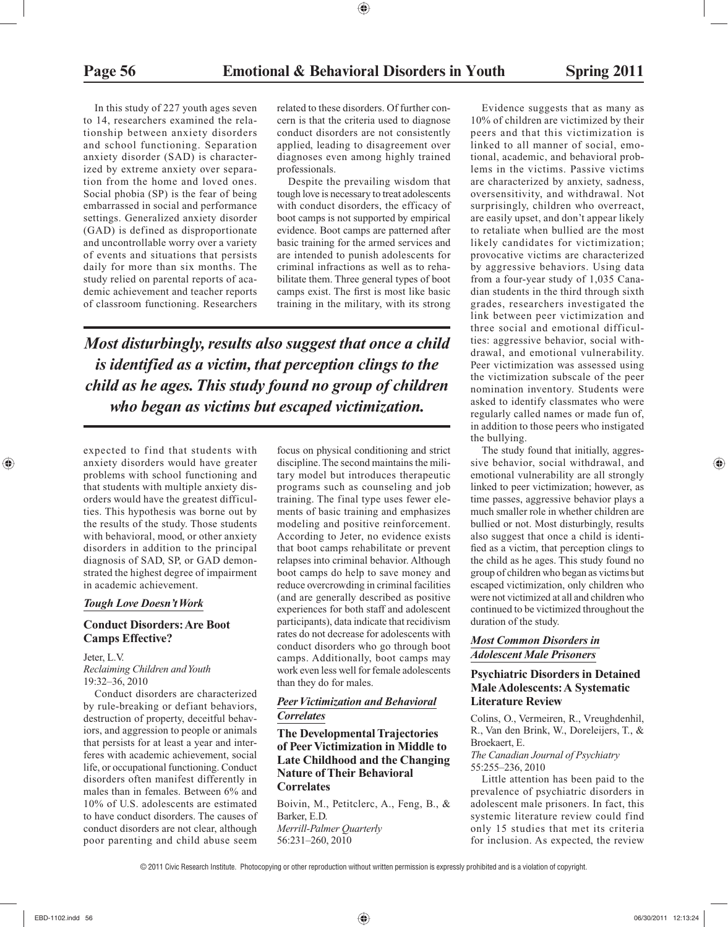In this study of 227 youth ages seven to 14, researchers examined the relationship between anxiety disorders and school functioning. Separation anxiety disorder (SAD) is characterized by extreme anxiety over separation from the home and loved ones. Social phobia (SP) is the fear of being embarrassed in social and performance settings. Generalized anxiety disorder (GAD) is defined as disproportionate and uncontrollable worry over a variety of events and situations that persists daily for more than six months. The study relied on parental reports of academic achievement and teacher reports of classroom functioning. Researchers

related to these disorders. Of further concern is that the criteria used to diagnose conduct disorders are not consistently applied, leading to disagreement over diagnoses even among highly trained professionals.

 Despite the prevailing wisdom that tough love is necessary to treat adolescents with conduct disorders, the efficacy of boot camps is not supported by empirical evidence. Boot camps are patterned after basic training for the armed services and are intended to punish adolescents for criminal infractions as well as to rehabilitate them. Three general types of boot camps exist. The first is most like basic training in the military, with its strong

*Most disturbingly, results also suggest that once a child is identified as a victim, that perception clings to the child as he ages. This study found no group of children who began as victims but escaped victimization.*

expected to find that students with anxiety disorders would have greater problems with school functioning and that students with multiple anxiety disorders would have the greatest difficulties. This hypothesis was borne out by the results of the study. Those students with behavioral, mood, or other anxiety disorders in addition to the principal diagnosis of SAD, SP, or GAD demonstrated the highest degree of impairment in academic achievement.

#### *Tough Love Doesn't Work*

#### **Conduct Disorders: Are Boot Camps Effective?**

 Jeter, L.V. *Reclaiming Children and Youth* 19:32–36, 2010

 Conduct disorders are characterized by rule-breaking or defiant behaviors, destruction of property, deceitful behaviors, and aggression to people or animals that persists for at least a year and interferes with academic achievement, social life, or occupational functioning. Conduct disorders often manifest differently in males than in females. Between 6% and 10% of U.S. adolescents are estimated to have conduct disorders. The causes of conduct disorders are not clear, although poor parenting and child abuse seem

focus on physical conditioning and strict discipline. The second maintains the military model but introduces therapeutic programs such as counseling and job training. The final type uses fewer elements of basic training and emphasizes modeling and positive reinforcement. According to Jeter, no evidence exists that boot camps rehabilitate or prevent relapses into criminal behavior. Although boot camps do help to save money and reduce overcrowding in criminal facilities (and are generally described as positive experiences for both staff and adolescent participants), data indicate that recidivism rates do not decrease for adolescents with conduct disorders who go through boot camps. Additionally, boot camps may work even less well for female adolescents than they do for males.

#### *Peer Victimization and Behavioral Correlates*

#### **The Developmental Trajectories of Peer Victimization in Middle to Late Childhood and the Changing Nature of Their Behavioral Correlates**

 Boivin, M., Petitclerc, A., Feng, B., & Barker, E.D. *Merrill-Palmer Quarterly* 56:231–260, 2010

 Evidence suggests that as many as 10% of children are victimized by their peers and that this victimization is linked to all manner of social, emotional, academic, and behavioral problems in the victims. Passive victims are characterized by anxiety, sadness, oversensitivity, and withdrawal. Not surprisingly, children who overreact, are easily upset, and don't appear likely to retaliate when bullied are the most likely candidates for victimization; provocative victims are characterized by aggressive behaviors. Using data from a four-year study of 1,035 Canadian students in the third through sixth grades, researchers investigated the link between peer victimization and three social and emotional difficulties: aggressive behavior, social withdrawal, and emotional vulnerability. Peer victimization was assessed using the victimization subscale of the peer nomination inventory. Students were asked to identify classmates who were regularly called names or made fun of, in addition to those peers who instigated the bullying.

 The study found that initially, aggressive behavior, social withdrawal, and emotional vulnerability are all strongly linked to peer victimization; however, as time passes, aggressive behavior plays a much smaller role in whether children are bullied or not. Most disturbingly, results also suggest that once a child is identified as a victim, that perception clings to the child as he ages. This study found no group of children who began as victims but escaped victimization, only children who were not victimized at all and children who continued to be victimized throughout the duration of the study.

#### *Most Common Disorders in Adolescent Male Prisoners*

#### **Psychiatric Disorders in Detained Male Adolescents: A Systematic Literature Review**

 Colins, O., Vermeiren, R., Vreughdenhil, R., Van den Brink, W., Doreleijers, T., & Broekaert, E.

*The Canadian Journal of Psychiatry* 55:255–236, 2010

 Little attention has been paid to the prevalence of psychiatric disorders in adolescent male prisoners. In fact, this systemic literature review could find only 15 studies that met its criteria for inclusion. As expected, the review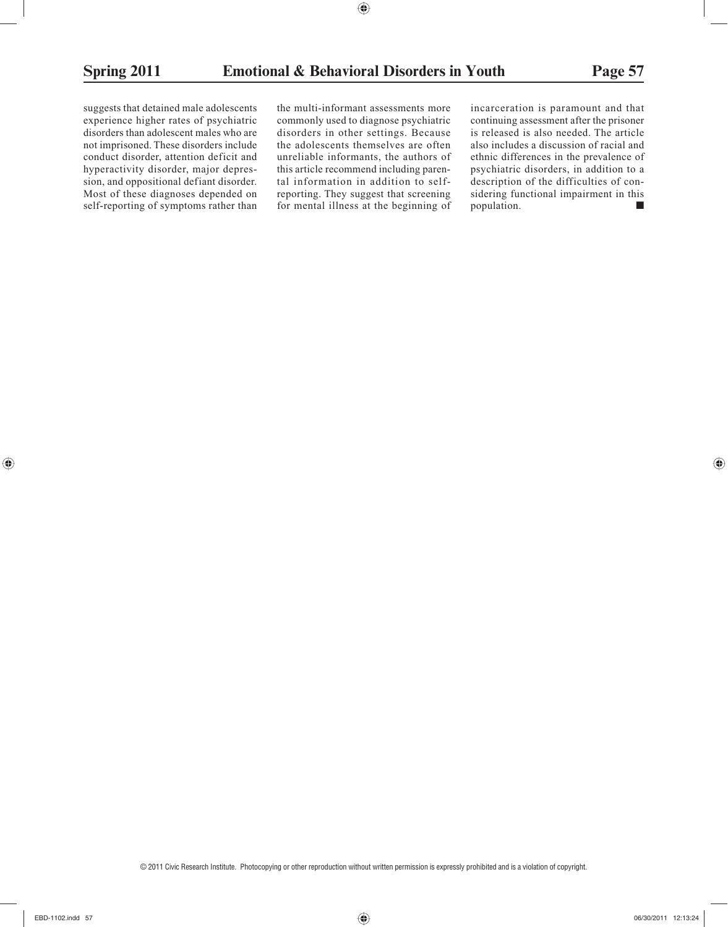suggests that detained male adolescents experience higher rates of psychiatric disorders than adolescent males who are not imprisoned. These disorders include conduct disorder, attention deficit and hyperactivity disorder, major depression, and oppositional defiant disorder. Most of these diagnoses depended on self-reporting of symptoms rather than

the multi-informant assessments more commonly used to diagnose psychiatric disorders in other settings. Because the adolescents themselves are often unreliable informants, the authors of this article recommend including parental information in addition to selfreporting. They suggest that screening for mental illness at the beginning of

incarceration is paramount and that continuing assessment after the prisoner is released is also needed. The article also includes a discussion of racial and ethnic differences in the prevalence of psychiatric disorders, in addition to a description of the difficulties of considering functional impairment in this population.